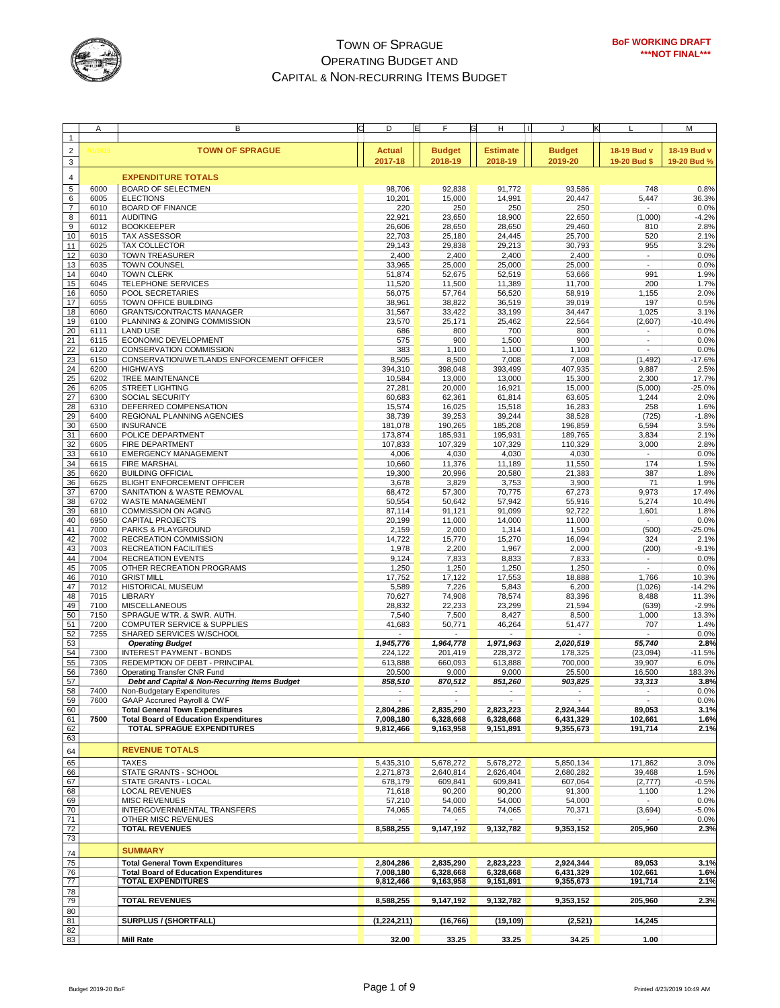

|                  | A            | B                                              | С | E<br>D                   | F             | G<br>н<br>$\blacksquare$ |               | κ                        | M           |
|------------------|--------------|------------------------------------------------|---|--------------------------|---------------|--------------------------|---------------|--------------------------|-------------|
| $\mathbf{1}$     |              |                                                |   |                          |               |                          |               |                          |             |
| $\overline{2}$   | /2019        | <b>TOWN OF SPRAGUE</b>                         |   | <b>Actual</b>            | <b>Budget</b> | <b>Estimate</b>          | <b>Budget</b> | 18-19 Bud v              | 18-19 Bud v |
|                  |              |                                                |   | 2017-18                  | 2018-19       | 2018-19                  | 2019-20       | 19-20 Bud \$             | 19-20 Bud % |
| 3                |              |                                                |   |                          |               |                          |               |                          |             |
| $\overline{4}$   |              | <b>EXPENDITURE TOTALS</b>                      |   |                          |               |                          |               |                          |             |
| 5                | 6000         | BOARD OF SELECTMEN                             |   | 98,706                   | 92,838        | 91,772                   | 93,586        | 748                      | 0.8%        |
| $6\overline{6}$  | 6005         | <b>ELECTIONS</b>                               |   | 10,201                   | 15,000        | 14,991                   | 20,447        | 5,447                    | 36.3%       |
| $\overline{7}$   | 6010         | <b>BOARD OF FINANCE</b>                        |   | 220                      | 250           | 250                      | 250           |                          | 0.0%        |
| $\boldsymbol{8}$ | 6011         | <b>AUDITING</b>                                |   | 22,921                   | 23,650        | 18,900                   | 22,650        | (1,000)                  | $-4.2%$     |
| $\overline{9}$   | 6012         | <b>BOOKKEEPER</b>                              |   | 26,606                   | 28,650        | 28,650                   | 29,460        | 810                      | 2.8%        |
| 10               | 6015         | <b>TAX ASSESSOR</b>                            |   | 22,703                   | 25,180        | 24,445                   | 25,700        | 520                      | 2.1%        |
| 11               | 6025         | <b>TAX COLLECTOR</b>                           |   | 29,143                   | 29,838        | 29,213                   | 30,793        | 955                      | 3.2%        |
| 12               | 6030         | <b>TOWN TREASURER</b>                          |   |                          | 2,400         | 2,400                    | 2,400         | $\overline{\phantom{a}}$ | 0.0%        |
| 13               |              |                                                |   | 2,400                    |               |                          |               |                          | 0.0%        |
|                  | 6035<br>6040 | <b>TOWN COUNSEL</b>                            |   | 33,965                   | 25,000        | 25,000                   | 25,000        | 991                      |             |
| 14               |              | <b>TOWN CLERK</b><br><b>TELEPHONE SERVICES</b> |   | 51,874                   | 52,675        | 52,519                   | 53,666        |                          | 1.9%        |
| 15               | 6045         |                                                |   | 11,520                   | 11,500        | 11,389                   | 11,700        | 200                      | 1.7%        |
| 16               | 6050         | POOL SECRETARIES                               |   | 56,075                   | 57,764        | 56,520                   | 58,919        | 1,155                    | 2.0%        |
| 17               | 6055         | TOWN OFFICE BUILDING                           |   | 38,961                   | 38,822        | 36,519                   | 39,019        | 197                      | 0.5%        |
| 18               | 6060         | <b>GRANTS/CONTRACTS MANAGER</b>                |   | 31,567                   | 33,422        | 33,199                   | 34,447        | 1,025                    | 3.1%        |
| 19               | 6100         | PLANNING & ZONING COMMISSION                   |   | 23,570                   | 25,171        | 25,462                   | 22,564        | (2,607)                  | $-10.4%$    |
| 20               | 6111         | <b>LAND USE</b>                                |   | 686                      | 800           | 700                      | 800           |                          | 0.0%        |
| 21               | 6115         | ECONOMIC DEVELOPMENT                           |   | 575                      | 900           | 1,500                    | 900           | $\overline{\phantom{a}}$ | 0.0%        |
| $\frac{22}{23}$  | 6120         | CONSERVATION COMMISSION                        |   | 383                      | 1,100         | 1,100                    | 1,100         | ÷                        | 0.0%        |
|                  | 6150         | CONSERVATION/WETLANDS ENFORCEMENT OFFICER      |   | 8,505                    | 8,500         | 7,008                    | 7,008         | (1, 492)                 | $-17.6%$    |
| 24               | 6200         | <b>HIGHWAYS</b>                                |   | 394,310                  | 398,048       | 393,499                  | 407,935       | 9,887                    | 2.5%        |
| 25               | 6202         | <b>TREE MAINTENANCE</b>                        |   | 10,584                   | 13,000        | 13,000                   | 15,300        | 2,300                    | 17.7%       |
| $\frac{26}{27}$  | 6205         | <b>STREET LIGHTING</b>                         |   | 27,281                   | 20,000        | 16,921                   | 15,000        | (5,000)                  | $-25.0%$    |
|                  | 6300         | SOCIAL SECURITY                                |   | 60,683                   | 62,361        | 61,814                   | 63,605        | 1,244                    | 2.0%        |
| 28               | 6310         | DEFERRED COMPENSATION                          |   | 15,574                   | 16,025        | 15,518                   | 16,283        | 258                      | 1.6%        |
| 29               | 6400         | REGIONAL PLANNING AGENCIES                     |   | 38,739                   | 39,253        | 39,244                   | 38,528        | (725)                    | $-1.8%$     |
| 30               | 6500         | <b>INSURANCE</b>                               |   | 181,078                  | 190,265       | 185,208                  | 196,859       | 6,594                    | 3.5%        |
| 31               | 6600         | POLICE DEPARTMENT                              |   | 173,874                  | 185,931       | 195,931                  | 189,765       | 3,834                    | 2.1%        |
| 32               | 6605         | FIRE DEPARTMENT                                |   | 107,833                  | 107,329       | 107,329                  | 110,329       | 3,000                    | 2.8%        |
| 33               | 6610         | <b>EMERGENCY MANAGEMENT</b>                    |   | 4,006                    | 4,030         | 4,030                    | 4,030         |                          | 0.0%        |
| 34               | 6615         | <b>FIRE MARSHAL</b>                            |   | 10,660                   | 11,376        | 11,189                   | 11,550        | 174                      | 1.5%        |
| 35               | 6620         | <b>BUILDING OFFICIAL</b>                       |   | 19,300                   | 20,996        | 20,580                   | 21,383        | 387                      | 1.8%        |
| 36               | 6625         | <b>BLIGHT ENFORCEMENT OFFICER</b>              |   | 3,678                    | 3,829         | 3,753                    | 3,900         | 71                       | 1.9%        |
| 37               | 6700         | SANITATION & WASTE REMOVAL                     |   | 68,472                   | 57,300        | 70,775                   | 67,273        | 9,973                    | 17.4%       |
| 38               | 6702         | <b>WASTE MANAGEMENT</b>                        |   | 50,554                   | 50,642        | 57,942                   | 55,916        | 5,274                    | 10.4%       |
| 39               | 6810         | COMMISSION ON AGING                            |   | 87,114                   | 91,121        | 91,099                   | 92,722        | 1,601                    | 1.8%        |
| 40               | 6950         | <b>CAPITAL PROJECTS</b>                        |   | 20,199                   | 11,000        | 14,000                   | 11,000        | $\overline{\phantom{a}}$ | 0.0%        |
| 41               | 7000         | PARKS & PLAYGROUND                             |   | 2,159                    | 2,000         | 1,314                    | 1,500         | (500)                    | $-25.0%$    |
| 42               | 7002         | RECREATION COMMISSION                          |   | 14,722                   | 15,770        | 15,270                   | 16,094        | 324                      | 2.1%        |
| 43               | 7003         | RECREATION FACILITIES                          |   | 1,978                    | 2,200         | 1,967                    | 2,000         | (200)                    | $-9.1%$     |
| 44               | 7004         | <b>RECREATION EVENTS</b>                       |   | 9,124                    | 7,833         | 8,833                    | 7,833         | $\overline{\phantom{a}}$ | 0.0%        |
| 45               | 7005         | OTHER RECREATION PROGRAMS                      |   | 1,250                    | 1,250         | 1,250                    | 1,250         | $\overline{a}$           | 0.0%        |
| 46               | 7010         | <b>GRIST MILL</b>                              |   | 17,752                   | 17,122        | 17,553                   | 18,888        | 1,766                    | 10.3%       |
| 47               | 7012         | <b>HISTORICAL MUSEUM</b>                       |   | 5,589                    | 7,226         | 5,843                    | 6,200         | (1,026)                  | $-14.2%$    |
| 48               | 7015         | <b>LIBRARY</b>                                 |   | 70,627                   | 74,908        | 78,574                   | 83,396        | 8,488                    | 11.3%       |
| 49               | 7100         | MISCELLANEOUS                                  |   | 28,832                   | 22,233        | 23,299                   | 21,594        | (639)                    | $-2.9%$     |
| 50               | 7150         | SPRAGUE WTR. & SWR. AUTH.                      |   | 7,540                    | 7,500         | 8,427                    | 8,500         | 1,000                    | 13.3%       |
| 51               | 7200         | <b>COMPUTER SERVICE &amp; SUPPLIES</b>         |   | 41,683                   | 50,771        | 46,264                   | 51,477        | 707                      | 1.4%        |
| 52               | 7255         | SHARED SERVICES W/SCHOOL                       |   |                          |               |                          |               |                          | 0.0%        |
| 53               |              | <b>Operating Budget</b>                        |   | 1,945,776                | 1,964,778     | 1,971,963                | 2,020,519     | 55,740                   | 2.8%        |
| 54               | 7300         | <b>INTEREST PAYMENT - BONDS</b>                |   | 224,122                  | 201,419       | 228,372                  | 178,325       | (23,094)                 | $-11.5%$    |
| 55               | 7305         | REDEMPTION OF DEBT - PRINCIPAL                 |   | 613,888                  | 660,093       | 613,888                  | 700,000       | 39,907                   | 6.0%        |
| 56               | 7360         | Operating Transfer CNR Fund                    |   | 20,500                   | 9,000         | 9,000                    | 25,500        | 16,500                   | 183.3%      |
| 57               |              | Debt and Capital & Non-Recurring Items Budget  |   | 858,510                  | 870,512       | 851,260                  | 903,825       | 33,313                   | 3.8%        |
| 58               | 7400         | Non-Budgetary Expenditures                     |   |                          |               |                          |               |                          | 0.0%        |
| 59               | 7600         | GAAP Accrured Payroll & CWF                    |   | $\sim$                   | $\sim$        |                          |               | $\sim$                   | 0.0%        |
| 60               |              | <b>Total General Town Expenditures</b>         |   | 2,804,286                | 2,835,290     | 2,823,223                | 2,924,344     | 89,053                   | 3.1%        |
| 61               | 7500         | <b>Total Board of Education Expenditures</b>   |   | 7,008,180                | 6,328,668     | 6,328,668                | 6,431,329     | 102,661                  | 1.6%        |
| 62               |              | <b>TOTAL SPRAGUE EXPENDITURES</b>              |   | 9,812,466                | 9,163,958     | 9,151,891                | 9,355,673     | 191,714                  | 2.1%        |
| 63               |              |                                                |   |                          |               |                          |               |                          |             |
|                  |              |                                                |   |                          |               |                          |               |                          |             |
| 64               |              | <b>REVENUE TOTALS</b>                          |   |                          |               |                          |               |                          |             |
| 65               |              | <b>TAXES</b>                                   |   | 5,435,310                | 5,678,272     | 5,678,272                | 5,850,134     | 171,862                  | 3.0%        |
| 66               |              | STATE GRANTS - SCHOOL                          |   | 2,271,873                | 2,640,814     | 2,626,404                | 2,680,282     | 39,468                   | 1.5%        |
| 67               |              | STATE GRANTS - LOCAL                           |   | 678,179                  | 609,841       | 609,841                  | 607,064       | (2, 777)                 | $-0.5%$     |
| 68               |              | LOCAL REVENUES                                 |   | 71,618                   | 90,200        | 90,200                   | 91,300        | 1,100                    | 1.2%        |
|                  |              | <b>MISC REVENUES</b>                           |   | 57,210                   | 54,000        | 54,000                   | 54,000        |                          | 0.0%        |
| 69<br>70         |              | INTERGOVERNMENTAL TRANSFERS                    |   | 74,065                   | 74,065        | 74,065                   | 70,371        | (3,694)                  | $-5.0%$     |
| 71               |              | OTHER MISC REVENUES                            |   | $\overline{\phantom{a}}$ |               |                          |               |                          | 0.0%        |
|                  |              | <b>TOTAL REVENUES</b>                          |   | 8,588,255                | 9,147,192     | 9,132,782                | 9,353,152     | 205,960                  | 2.3%        |
| $\frac{72}{73}$  |              |                                                |   |                          |               |                          |               |                          |             |
|                  |              | <b>SUMMARY</b>                                 |   |                          |               |                          |               |                          |             |
| 74               |              |                                                |   |                          |               |                          |               |                          |             |
| 75               |              | <b>Total General Town Expenditures</b>         |   | 2,804,286                | 2,835,290     | 2,823,223                | 2,924,344     | 89,053                   | 3.1%        |
| 76               |              | <b>Total Board of Education Expenditures</b>   |   | 7,008,180                | 6,328,668     | 6,328,668                | 6,431,329     | 102,661                  | 1.6%        |
| 77               |              | <b>TOTAL EXPENDITURES</b>                      |   | 9,812,466                | 9,163,958     | 9,151,891                | 9,355,673     | 191,714                  | 2.1%        |
| 78               |              |                                                |   |                          |               |                          |               |                          |             |
| $\frac{1}{79}$   |              | <b>TOTAL REVENUES</b>                          |   | 8,588,255                | 9,147,192     | 9,132,782                | 9,353,152     | 205,960                  | 2.3%        |
| 80               |              |                                                |   |                          |               |                          |               |                          |             |
| 81               |              | SURPLUS / (SHORTFALL)                          |   | (1, 224, 211)            | (16, 766)     | (19, 109)                | (2,521)       | 14,245                   |             |
| 82               |              |                                                |   |                          |               |                          |               |                          |             |
| 83               |              | <b>Mill Rate</b>                               |   | 32.00                    | 33.25         | 33.25                    | 34.25         | 1.00                     |             |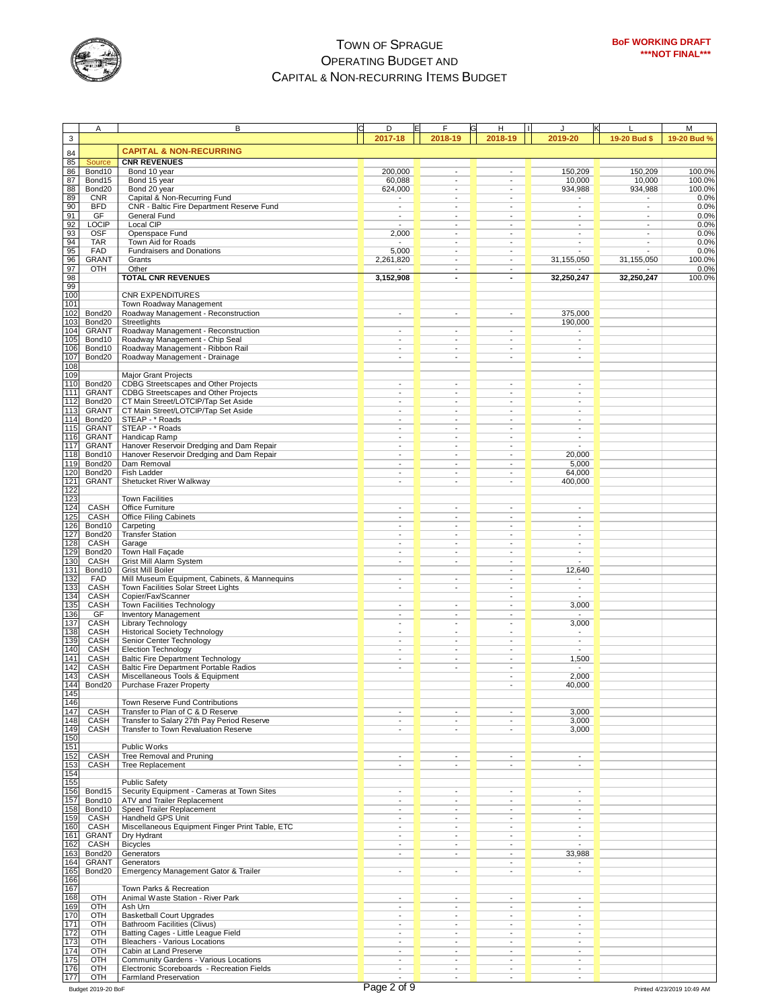

|             | Α                            | В                                                                                         | D                        | E | F                                                    | н<br>$\mathbf{I}$                                    | J                                                    |                          | M                |
|-------------|------------------------------|-------------------------------------------------------------------------------------------|--------------------------|---|------------------------------------------------------|------------------------------------------------------|------------------------------------------------------|--------------------------|------------------|
| $\mathsf 3$ |                              |                                                                                           | 2017-18                  |   | 2018-19                                              | 2018-19                                              | 2019-20                                              | 19-20 Bud \$             | 19-20 Bud %      |
|             |                              |                                                                                           |                          |   |                                                      |                                                      |                                                      |                          |                  |
| 84          |                              | <b>CAPITAL &amp; NON-RECURRING</b>                                                        |                          |   |                                                      |                                                      |                                                      |                          |                  |
| 85          | Source                       | <b>CNR REVENUES</b>                                                                       |                          |   |                                                      |                                                      |                                                      |                          |                  |
| 86          | Bond10                       | Bond 10 year                                                                              | 200,000                  |   | $\blacksquare$                                       | ÷                                                    | 150,209                                              | 150,209                  | 100.0%           |
| 87<br>88    | Bond15<br>Bond <sub>20</sub> | Bond 15 year<br>Bond 20 year                                                              | 60,088<br>624,000        |   | $\overline{\phantom{a}}$<br>$\overline{\phantom{a}}$ | $\overline{\phantom{a}}$<br>$\overline{\phantom{a}}$ | 10,000<br>934,988                                    | 10,000<br>934,988        | 100.0%<br>100.0% |
| 89          | <b>CNR</b>                   | Capital & Non-Recurring Fund                                                              | $\overline{\phantom{0}}$ |   | ÷,                                                   | ÷,                                                   | $\overline{\phantom{a}}$                             | $\overline{\phantom{a}}$ | 0.0%             |
| 90          | <b>BFD</b>                   | CNR - Baltic Fire Department Reserve Fund                                                 | L,                       |   | ÷,                                                   |                                                      | $\blacksquare$                                       | $\overline{\phantom{a}}$ | 0.0%             |
| 91          | GF                           | General Fund                                                                              | $\overline{\phantom{a}}$ |   | $\overline{\phantom{a}}$                             | $\overline{\phantom{a}}$                             | $\overline{\phantom{a}}$                             | $\overline{\phantom{a}}$ | 0.0%             |
| 92          | <b>LOCIP</b>                 | Local CIP                                                                                 |                          |   | $\overline{\phantom{a}}$                             | $\blacksquare$                                       | $\blacksquare$                                       | $\blacksquare$           | 0.0%             |
| 93          | <b>OSF</b>                   | Openspace Fund                                                                            | 2,000                    |   | $\overline{\phantom{a}}$                             | ÷,                                                   | $\blacksquare$                                       | $\blacksquare$           | 0.0%             |
| 94          | <b>TAR</b>                   | Town Aid for Roads                                                                        | $\overline{\phantom{a}}$ |   | $\overline{\phantom{a}}$                             | $\overline{\phantom{a}}$                             | $\overline{\phantom{a}}$                             | $\blacksquare$           | 0.0%             |
| 95          | FAD                          | <b>Fundraisers and Donations</b>                                                          | 5,000                    |   | $\overline{\phantom{a}}$                             | $\overline{\phantom{a}}$                             |                                                      |                          | 0.0%             |
| 96          | <b>GRANT</b>                 | Grants                                                                                    | 2,261,820                |   | $\sim$                                               | ÷                                                    | 31,155,050                                           | 31,155,050               | 100.0%           |
| 97          | OTH                          | Other                                                                                     |                          |   | $\overline{\phantom{a}}$                             | $\overline{\phantom{a}}$                             |                                                      |                          | 0.0%             |
| 98<br>99    |                              | <b>TOTAL CNR REVENUES</b>                                                                 | 3,152,908                |   | $\sim$                                               | $\blacksquare$                                       | 32,250,247                                           | 32,250,247               | 100.0%           |
| 100         |                              | <b>CNR EXPENDITURES</b>                                                                   |                          |   |                                                      |                                                      |                                                      |                          |                  |
| 101         |                              | Town Roadway Management                                                                   |                          |   |                                                      |                                                      |                                                      |                          |                  |
| 102         | Bond20                       | Roadway Management - Reconstruction                                                       | $\overline{\phantom{a}}$ |   | ÷                                                    | $\overline{\phantom{a}}$                             | 375,000                                              |                          |                  |
| 103         | Bond20                       | Streetlights                                                                              |                          |   |                                                      |                                                      | 190,000                                              |                          |                  |
| 104         | <b>GRANT</b>                 | Roadway Management - Reconstruction                                                       | L,                       |   | $\overline{\phantom{a}}$                             | $\overline{\phantom{a}}$                             |                                                      |                          |                  |
| 105         | Bond10                       | Roadway Management - Chip Seal                                                            |                          |   | $\overline{a}$                                       | $\overline{a}$                                       | $\blacksquare$                                       |                          |                  |
| 106         | Bond10                       | Roadway Management - Ribbon Rail                                                          |                          |   | $\overline{\phantom{a}}$                             | $\overline{\phantom{a}}$                             | $\overline{\phantom{a}}$                             |                          |                  |
| 107         | Bond20                       | Roadway Management - Drainage                                                             | $\overline{\phantom{a}}$ |   | $\overline{\phantom{a}}$                             | $\centerdot$                                         | $\overline{\phantom{a}}$                             |                          |                  |
| 108         |                              |                                                                                           |                          |   |                                                      |                                                      |                                                      |                          |                  |
| 109<br>110  | Bond <sub>20</sub>           | <b>Major Grant Projects</b><br>CDBG Streetscapes and Other Projects                       | ٠                        |   | $\overline{\phantom{a}}$                             | $\overline{\phantom{a}}$                             | $\overline{\phantom{a}}$                             |                          |                  |
| 111         | <b>GRANT</b>                 | <b>CDBG Streetscapes and Other Projects</b>                                               | ٠                        |   | $\overline{a}$                                       |                                                      | $\overline{\phantom{a}}$                             |                          |                  |
| 112         | Bond20                       | CT Main Street/LOTCIP/Tap Set Aside                                                       |                          |   | $\overline{\phantom{a}}$                             | ÷,                                                   | $\overline{\phantom{a}}$                             |                          |                  |
| 113         | <b>GRANT</b>                 | CT Main Street/LOTCIP/Tap Set Aside                                                       | ٠                        |   | $\overline{\phantom{a}}$                             | $\overline{\phantom{a}}$                             | $\overline{\phantom{a}}$                             |                          |                  |
| 114         | Bond20                       | STEAP - * Roads                                                                           |                          |   | $\overline{\phantom{a}}$                             | ÷,                                                   | ÷,                                                   |                          |                  |
| 115         | <b>GRANT</b>                 | STEAP - * Roads                                                                           |                          |   | $\overline{\phantom{a}}$                             |                                                      | $\overline{\phantom{a}}$                             |                          |                  |
| 116         | <b>GRANT</b>                 | Handicap Ramp                                                                             | ٠                        |   | $\overline{\phantom{a}}$                             | $\overline{\phantom{a}}$                             | $\overline{\phantom{a}}$                             |                          |                  |
| 117         | <b>GRANT</b>                 | Hanover Reservoir Dredging and Dam Repair                                                 | $\overline{\phantom{a}}$ |   | $\overline{\phantom{a}}$                             | $\overline{\phantom{a}}$                             |                                                      |                          |                  |
| 118         | Bond10                       | Hanover Reservoir Dredging and Dam Repair                                                 |                          |   | $\overline{\phantom{a}}$                             | ÷,                                                   | 20.000                                               |                          |                  |
| 119         | Bond20                       | Dam Removal                                                                               | -                        |   | $\overline{\phantom{a}}$                             | $\overline{\phantom{a}}$                             | 5,000                                                |                          |                  |
| 120<br>121  | Bond20                       | <b>Fish Ladder</b>                                                                        |                          |   | $\overline{\phantom{a}}$<br>$\overline{\phantom{a}}$ | $\overline{\phantom{a}}$                             | 64,000                                               |                          |                  |
| 122         | <b>GRANT</b>                 | Shetucket River Walkway                                                                   | $\overline{\phantom{0}}$ |   |                                                      |                                                      | 400,000                                              |                          |                  |
| 123         |                              | <b>Town Facilities</b>                                                                    |                          |   |                                                      |                                                      |                                                      |                          |                  |
| 124         | CASH                         | Office Furniture                                                                          | $\overline{\phantom{a}}$ |   | ÷                                                    | $\sim$                                               | $\overline{\phantom{a}}$                             |                          |                  |
| 125         | CASH                         | <b>Office Filing Cabinets</b>                                                             |                          |   | ٠                                                    | $\overline{\phantom{a}}$                             | $\overline{\phantom{a}}$                             |                          |                  |
| 126         | Bond10                       | Carpeting                                                                                 | $\overline{\phantom{a}}$ |   | $\blacksquare$                                       | $\overline{\phantom{a}}$                             | $\overline{\phantom{a}}$                             |                          |                  |
| 127         | Bond20                       | <b>Transfer Station</b>                                                                   | ٠                        |   | ٠                                                    |                                                      | ٠                                                    |                          |                  |
| 128         | CASH                         | Garage                                                                                    |                          |   | $\overline{\phantom{a}}$                             |                                                      | $\overline{\phantom{a}}$                             |                          |                  |
| 129         | Bond20                       | Town Hall Façade                                                                          | $\overline{\phantom{a}}$ |   | $\overline{\phantom{a}}$                             | $\overline{\phantom{a}}$                             | $\overline{\phantom{a}}$                             |                          |                  |
| 130         | CASH                         | Grist Mill Alarm System                                                                   | $\overline{\phantom{a}}$ |   | $\overline{\phantom{a}}$                             | $\overline{a}$                                       |                                                      |                          |                  |
| 131         | Bond10                       | <b>Grist Mill Boiler</b>                                                                  |                          |   |                                                      | ÷,                                                   | 12,640                                               |                          |                  |
| 132<br>133  | <b>FAD</b><br>CASH           | Mill Museum Equipment, Cabinets, & Mannequins<br>Town Facilities Solar Street Lights      | ÷,<br>$\overline{a}$     |   | $\overline{\phantom{a}}$<br>÷,                       | ÷,<br>$\overline{a}$                                 | $\overline{\phantom{a}}$<br>$\blacksquare$           |                          |                  |
| 134         | CASH                         | Copier/Fax/Scanner                                                                        |                          |   |                                                      |                                                      |                                                      |                          |                  |
| 135         | CASH                         | Town Facilities Technology                                                                | ٠                        |   | $\overline{\phantom{a}}$                             | $\overline{\phantom{a}}$                             | 3,000                                                |                          |                  |
| 136         | GF                           | <b>Inventory Management</b>                                                               | ٠                        |   | $\overline{a}$                                       | $\overline{a}$                                       |                                                      |                          |                  |
| 137         | CASH                         | Library Technology                                                                        |                          |   | $\overline{\phantom{a}}$                             | ÷,                                                   | 3,000                                                |                          |                  |
| 138         | CASH                         | <b>Historical Society Technology</b>                                                      | ٠                        |   | $\overline{\phantom{a}}$                             | $\overline{\phantom{a}}$                             | $\overline{\phantom{a}}$                             |                          |                  |
| 139         | CASH                         | Senior Center Technology                                                                  | ÷,                       |   | $\overline{\phantom{a}}$                             | ÷,                                                   | $\blacksquare$                                       |                          |                  |
| 140         | CASH                         | <b>Election Technology</b>                                                                |                          |   | ÷                                                    |                                                      | $\blacksquare$                                       |                          |                  |
| 141<br>142  | CASH<br>CASH                 | <b>Baltic Fire Department Technology</b><br><b>Baltic Fire Department Portable Radios</b> | ۰<br>$\overline{a}$      |   | $\overline{\phantom{a}}$<br>$\overline{\phantom{a}}$ | $\overline{\phantom{a}}$<br>$\overline{\phantom{a}}$ | 1,500                                                |                          |                  |
| 143         | CASH                         | Miscellaneous Tools & Equipment                                                           |                          |   |                                                      |                                                      | 2,000                                                |                          |                  |
| 144         | Bond20                       | Purchase Frazer Property                                                                  |                          |   |                                                      |                                                      | 40,000                                               |                          |                  |
| 145         |                              |                                                                                           |                          |   |                                                      |                                                      |                                                      |                          |                  |
| 146         |                              | Town Reserve Fund Contributions                                                           |                          |   |                                                      |                                                      |                                                      |                          |                  |
| 147         | CASH                         | Transfer to Plan of C & D Reserve                                                         |                          |   | $\overline{\phantom{a}}$                             | $\overline{\phantom{a}}$                             | 3,000                                                |                          |                  |
| 148         | CASH                         | Transfer to Salary 27th Pay Period Reserve                                                | $\overline{a}$           |   |                                                      | ÷,                                                   | 3,000                                                |                          |                  |
| 149         | CASH                         | Transfer to Town Revaluation Reserve                                                      | ٠                        |   | $\sim$                                               | ٠                                                    | 3,000                                                |                          |                  |
| 150<br>151  |                              | Public Works                                                                              |                          |   |                                                      |                                                      |                                                      |                          |                  |
| 152         | CASH                         | Tree Removal and Pruning                                                                  |                          |   |                                                      |                                                      | $\blacksquare$                                       |                          |                  |
| 153         | CASH                         | Tree Replacement                                                                          | ٠                        |   | $\overline{\phantom{a}}$                             | $\overline{\phantom{a}}$                             | $\overline{\phantom{a}}$                             |                          |                  |
| 154         |                              |                                                                                           |                          |   |                                                      |                                                      |                                                      |                          |                  |
| 155         |                              | <b>Public Safety</b>                                                                      |                          |   |                                                      |                                                      |                                                      |                          |                  |
| 156         | Bond15                       | Security Equipment - Cameras at Town Sites                                                | $\overline{\phantom{0}}$ |   | $\overline{\phantom{a}}$                             | $\overline{\phantom{a}}$                             | $\overline{\phantom{a}}$                             |                          |                  |
| 157         | Bond10                       | ATV and Trailer Replacement                                                               | ÷,                       |   | $\overline{\phantom{a}}$                             | ÷,                                                   | $\overline{\phantom{a}}$                             |                          |                  |
| 158         | Bond <sub>10</sub>           | Speed Trailer Replacement                                                                 |                          |   | ٠                                                    |                                                      | $\overline{\phantom{a}}$                             |                          |                  |
| 159         | CASH                         | Handheld GPS Unit                                                                         | -                        |   | $\overline{\phantom{a}}$                             |                                                      | $\overline{\phantom{a}}$                             |                          |                  |
| 160         | CASH                         | Miscellaneous Equipment Finger Print Table, ETC                                           | $\overline{\phantom{a}}$ |   | $\overline{\phantom{a}}$<br>÷                        | $\overline{\phantom{a}}$                             | $\overline{\phantom{a}}$                             |                          |                  |
| 161<br>162  | <b>GRANT</b><br>CASH         | Dry Hydrant                                                                               |                          |   | $\overline{\phantom{a}}$                             |                                                      | $\overline{\phantom{a}}$                             |                          |                  |
| 163         | Bond20                       | <b>Bicycles</b><br>Generators                                                             | ٠                        |   | $\overline{\phantom{a}}$                             | $\overline{\phantom{a}}$                             | 33,988                                               |                          |                  |
| 164         | GRANT                        | Generators                                                                                |                          |   |                                                      | ÷,                                                   | $\overline{\phantom{a}}$                             |                          |                  |
| 165         | Bond20                       | Emergency Management Gator & Trailer                                                      | $\overline{\phantom{0}}$ |   | $\overline{\phantom{a}}$                             | $\overline{\phantom{a}}$                             | $\blacksquare$                                       |                          |                  |
| 166         |                              |                                                                                           |                          |   |                                                      |                                                      |                                                      |                          |                  |
| 167         |                              | Town Parks & Recreation                                                                   |                          |   |                                                      |                                                      |                                                      |                          |                  |
| 168         | OTH                          | Animal Waste Station - River Park                                                         |                          |   |                                                      | $\overline{\phantom{a}}$                             |                                                      |                          |                  |
| 169         | OTH                          | Ash Um                                                                                    | ٠                        |   | $\overline{\phantom{a}}$                             | $\overline{\phantom{a}}$                             | $\overline{\phantom{a}}$                             |                          |                  |
| 170         | OTH                          | <b>Basketball Court Upgrades</b>                                                          |                          |   | $\overline{\phantom{a}}$                             |                                                      | $\overline{\phantom{a}}$                             |                          |                  |
| 171         | OTH                          | <b>Bathroom Facilities (Clivus)</b>                                                       | ٠                        |   | ٠                                                    | $\overline{\phantom{a}}$                             | $\blacksquare$                                       |                          |                  |
| 172<br>173  | OTH<br>OTH                   | Batting Cages - Little League Field<br>Bleachers - Various Locations                      | -                        |   | $\overline{\phantom{a}}$                             | $\overline{\phantom{a}}$                             | $\overline{\phantom{a}}$<br>$\overline{\phantom{a}}$ |                          |                  |
| 174         | OTH                          | Cabin at Land Preserve                                                                    |                          |   |                                                      |                                                      | $\blacksquare$                                       |                          |                  |
| 175         | OTH                          | Community Gardens - Various Locations                                                     |                          |   |                                                      |                                                      | $\overline{\phantom{a}}$                             |                          |                  |
| 176         | OTH                          | Electronic Scoreboards - Recreation Fields                                                | $\overline{\phantom{a}}$ |   | $\overline{\phantom{a}}$                             | $\overline{\phantom{a}}$                             | $\overline{\phantom{a}}$                             |                          |                  |
| 177         | OTH                          | Farmland Preservation                                                                     | $\overline{\phantom{a}}$ |   | ÷                                                    |                                                      |                                                      |                          |                  |

 $\overline{\phantom{a}}$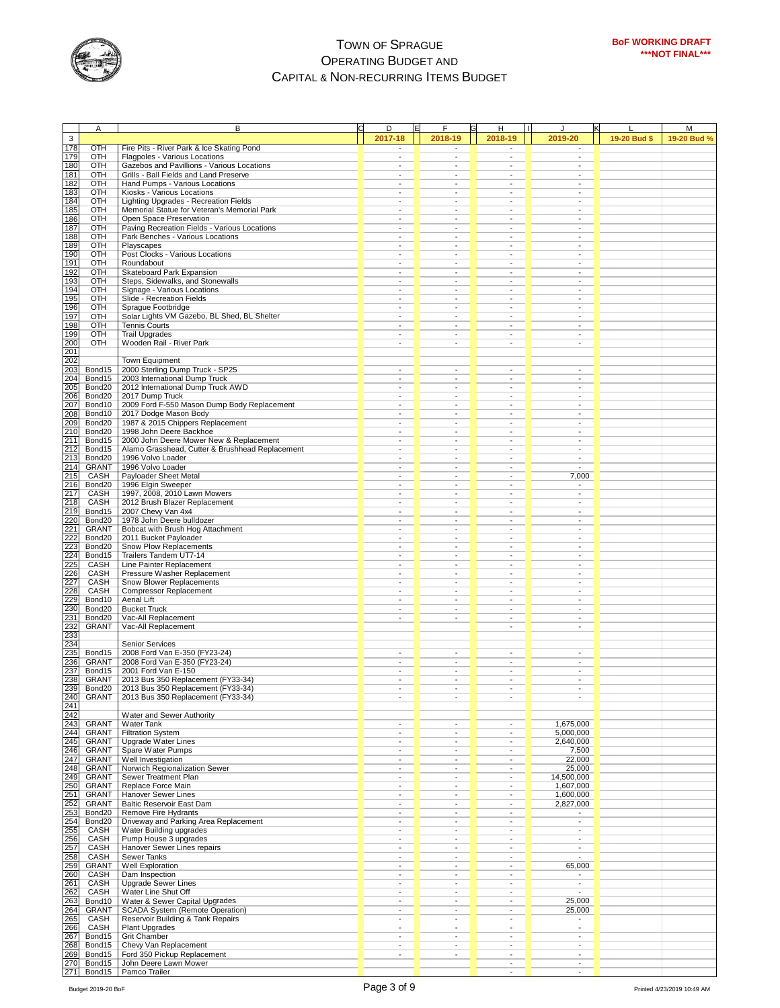

|                                        | Α                     | B                                                                   | D                                                    | F                                          | н<br>$\blacksquare$                |                                                      |              | M           |
|----------------------------------------|-----------------------|---------------------------------------------------------------------|------------------------------------------------------|--------------------------------------------|------------------------------------|------------------------------------------------------|--------------|-------------|
| 3                                      |                       |                                                                     | 2017-18                                              | 2018-19                                    | 2018-19                            | 2019-20                                              | 19-20 Bud \$ | 19-20 Bud % |
| 178                                    | <b>OTH</b>            | Fire Pits - River Park & Ice Skating Pond                           | $\blacksquare$                                       | $\overline{\phantom{a}}$                   | $\overline{\phantom{a}}$           | $\blacksquare$                                       |              |             |
| 179                                    | OTH                   | Flagpoles - Various Locations                                       | ٠                                                    | $\overline{\phantom{a}}$                   | $\overline{\phantom{a}}$           | $\overline{\phantom{a}}$                             |              |             |
| 180                                    | OTH                   | Gazebos and Pavillions - Various Locations                          | ÷,                                                   | ÷,                                         | $\overline{\phantom{a}}$           | $\blacksquare$                                       |              |             |
| 181                                    | OTH                   | Grills - Ball Fields and Land Preserve                              |                                                      | ٠                                          |                                    | $\blacksquare$                                       |              |             |
| 182                                    | OTH<br>OTH            | Hand Pumps - Various Locations                                      | $\overline{\phantom{a}}$<br>$\overline{\phantom{a}}$ | ÷,<br>÷,                                   | $\overline{\phantom{a}}$           | $\overline{\phantom{a}}$<br>$\blacksquare$           |              |             |
| 183<br>184                             | OTH                   | Kiosks - Various Locations<br>Lighting Upgrades - Recreation Fields |                                                      | $\overline{\phantom{m}}$                   |                                    | $\overline{\phantom{a}}$                             |              |             |
| 185                                    | OTH                   | Memorial Statue for Veteran's Memorial Park                         | $\overline{\phantom{a}}$                             | ÷,                                         |                                    | $\overline{\phantom{a}}$                             |              |             |
| 186                                    | OTH                   | Open Space Preservation                                             |                                                      | $\blacksquare$                             |                                    | ÷,                                                   |              |             |
| 187                                    | OTH                   | Paving Recreation Fields - Various Locations                        | $\overline{\phantom{a}}$                             | ٠                                          | $\overline{\phantom{a}}$           | $\overline{\phantom{a}}$                             |              |             |
| 188                                    | OTH                   | Park Benches - Various Locations                                    |                                                      | ÷,                                         |                                    | $\overline{\phantom{a}}$                             |              |             |
| 189                                    | OTH                   | Playscapes                                                          | $\overline{\phantom{a}}$                             | $\overline{\phantom{a}}$                   | $\overline{\phantom{a}}$           | $\overline{\phantom{a}}$                             |              |             |
| 190                                    | OTH                   | Post Clocks - Various Locations                                     | ٠                                                    | ٠                                          | $\overline{\phantom{a}}$           | $\overline{\phantom{a}}$                             |              |             |
| 191                                    | OTH                   | Roundabout                                                          | $\overline{\phantom{a}}$                             | $\overline{\phantom{a}}$                   | $\overline{\phantom{a}}$           | $\overline{\phantom{a}}$                             |              |             |
| 192                                    | OTH                   | Skateboard Park Expansion                                           | $\overline{\phantom{a}}$                             | $\overline{\phantom{a}}$                   | $\overline{\phantom{a}}$           | $\overline{\phantom{a}}$                             |              |             |
| 193                                    | OTH                   | Steps, Sidewalks, and Stonewalls                                    | $\overline{\phantom{a}}$                             | ٠                                          |                                    | $\overline{\phantom{a}}$                             |              |             |
| 194                                    | OTH                   | Signage - Various Locations                                         | $\overline{\phantom{a}}$                             | ٠                                          | $\overline{\phantom{a}}$           | $\overline{\phantom{a}}$                             |              |             |
| 195<br>196                             | OTH<br>OTH            | Slide - Recreation Fields<br>Sprague Footbridge                     | $\overline{\phantom{a}}$<br>٠                        | $\overline{\phantom{m}}$<br>$\blacksquare$ | $\overline{\phantom{a}}$           | $\overline{\phantom{a}}$<br>$\blacksquare$           |              |             |
| 197                                    | OTH                   | Solar Lights VM Gazebo, BL Shed, BL Shelter                         | $\overline{\phantom{a}}$                             | $\overline{\phantom{a}}$                   |                                    | $\overline{\phantom{a}}$                             |              |             |
| 198                                    | OTH                   | <b>Tennis Courts</b>                                                | ٠                                                    | $\overline{\phantom{a}}$                   | $\overline{\phantom{a}}$           | $\overline{\phantom{a}}$                             |              |             |
| 199                                    | OTH                   | <b>Trail Upgrades</b>                                               |                                                      | $\overline{a}$                             |                                    | $\overline{\phantom{a}}$                             |              |             |
| 200                                    | OTH                   | Wooden Rail - River Park                                            | $\centerdot$                                         | $\overline{\phantom{a}}$                   | $\overline{\phantom{a}}$           | $\blacksquare$                                       |              |             |
| 201                                    |                       |                                                                     |                                                      |                                            |                                    |                                                      |              |             |
| 202                                    |                       | Town Equipment                                                      |                                                      |                                            |                                    |                                                      |              |             |
| 203                                    | Bond15                | 2000 Sterling Dump Truck - SP25                                     |                                                      | ÷,                                         |                                    |                                                      |              |             |
| 204                                    | Bond15                | 2003 International Dump Truck                                       | ٠                                                    | $\overline{\phantom{a}}$                   | $\overline{\phantom{a}}$           | $\overline{\phantom{a}}$                             |              |             |
| 205                                    | Bond20                | 2012 International Dump Truck AWD                                   | $\overline{\phantom{a}}$                             | $\overline{\phantom{a}}$                   |                                    | $\overline{\phantom{a}}$                             |              |             |
| 206                                    | Bond <sub>20</sub>    | 2017 Dump Truck                                                     |                                                      | $\centering \label{eq:reduced}$            |                                    | $\blacksquare$                                       |              |             |
| 207                                    | Bond10                | 2009 Ford F-550 Mason Dump Body Replacement                         | $\overline{\phantom{a}}$<br>$\overline{\phantom{a}}$ | $\overline{\phantom{a}}$<br>÷,             | $\overline{\phantom{a}}$           | $\overline{\phantom{a}}$<br>$\blacksquare$           |              |             |
| 208                                    | Bond10<br>Bond20      | 2017 Dodge Mason Body<br>1987 & 2015 Chippers Replacement           |                                                      | ÷,                                         |                                    | $\overline{\phantom{a}}$                             |              |             |
| 209<br>210                             | Bond20                | 1998 John Deere Backhoe                                             | $\overline{\phantom{a}}$                             | ÷,                                         |                                    | $\overline{\phantom{a}}$                             |              |             |
|                                        | Bond15                | 2000 John Deere Mower New & Replacement                             | $\overline{\phantom{a}}$                             | $\blacksquare$                             |                                    | $\blacksquare$                                       |              |             |
| $\frac{211}{212}$<br>$\frac{212}{213}$ | Bond15                | Alamo Grasshead, Cutter & Brushhead Replacement                     | $\overline{\phantom{a}}$                             | ٠                                          | ٠                                  | ٠                                                    |              |             |
|                                        | Bond20                | 1996 Volvo Loader                                                   |                                                      | ÷,                                         |                                    | $\overline{\phantom{a}}$                             |              |             |
| 214                                    | <b>GRANT</b>          | 1996 Volvo Loader                                                   | $\overline{\phantom{a}}$                             | $\overline{\phantom{a}}$                   | $\overline{\phantom{a}}$           | $\overline{\phantom{a}}$                             |              |             |
|                                        | CASH                  | Payloader Sheet Metal                                               | $\overline{\phantom{a}}$                             | ٠                                          | ٠                                  | 7,000                                                |              |             |
| 215<br>216                             | Bond20                | 1996 Elgin Sweeper                                                  | $\overline{\phantom{a}}$                             | ٠                                          |                                    | $\overline{\phantom{a}}$                             |              |             |
| 217                                    | CASH                  | 1997, 2008, 2010 Lawn Mowers                                        | $\overline{\phantom{a}}$                             | $\overline{\phantom{a}}$                   | $\overline{\phantom{a}}$           | $\overline{\phantom{a}}$                             |              |             |
| 218<br>219                             | CASH                  | 2012 Brush Blazer Replacement                                       | ٠                                                    | ٠                                          |                                    | $\overline{\phantom{a}}$                             |              |             |
|                                        | Bond15                | 2007 Chevy Van 4x4                                                  | $\overline{\phantom{a}}$                             | ٠                                          | $\overline{\phantom{a}}$           | $\blacksquare$                                       |              |             |
| 220                                    | Bond20                | 1978 John Deere bulldozer                                           | $\overline{\phantom{a}}$<br>٠                        | $\overline{\phantom{a}}$<br>$\blacksquare$ | $\overline{\phantom{a}}$           | $\overline{\phantom{a}}$<br>$\blacksquare$           |              |             |
| 221<br>222<br>223                      | GRANT<br>Bond20       | Bobcat with Brush Hog Attachment<br>2011 Bucket Payloader           | $\overline{\phantom{a}}$                             | ٠                                          |                                    | $\overline{\phantom{a}}$                             |              |             |
|                                        | Bond20                | Snow Plow Replacements                                              | $\overline{\phantom{a}}$                             | $\blacksquare$                             | $\overline{\phantom{a}}$           | $\blacksquare$                                       |              |             |
|                                        | Bond15                | Trailers Tandem UT7-14                                              | $\overline{\phantom{a}}$                             | $\overline{\phantom{a}}$                   |                                    | $\blacksquare$                                       |              |             |
| 224<br>225                             | CASH                  | Line Painter Replacement                                            |                                                      | ٠                                          | $\overline{\phantom{a}}$           | $\blacksquare$                                       |              |             |
| 226                                    | CASH                  | Pressure Washer Replacement                                         | ٠                                                    | $\overline{\phantom{a}}$                   | $\overline{\phantom{a}}$           | $\overline{\phantom{a}}$                             |              |             |
|                                        | CASH                  | Snow Blower Replacements                                            | $\overline{\phantom{a}}$                             | ÷,                                         |                                    | $\blacksquare$                                       |              |             |
| 227<br>228                             | CASH                  | <b>Compressor Replacement</b>                                       | $\overline{\phantom{a}}$                             | $\frac{1}{2}$                              |                                    | $\blacksquare$                                       |              |             |
| 229<br>230<br>231                      | Bond10                | <b>Aerial Lift</b>                                                  | ٠                                                    | $\overline{\phantom{a}}$                   | $\overline{\phantom{a}}$           | $\overline{\phantom{a}}$                             |              |             |
|                                        | Bond20                | <b>Bucket Truck</b>                                                 | $\overline{\phantom{a}}$                             | $\overline{\phantom{a}}$                   | $\overline{\phantom{a}}$           | $\overline{\phantom{a}}$                             |              |             |
|                                        | Bond20                | Vac-All Replacement                                                 |                                                      | $\centering \label{eq:reduced}$            |                                    | $\overline{\phantom{a}}$                             |              |             |
| 232                                    | GRANT                 | Vac-All Replacement                                                 |                                                      |                                            | $\overline{\phantom{a}}$           | $\overline{\phantom{a}}$                             |              |             |
| $\frac{233}{234}$                      |                       | Senior Services                                                     |                                                      |                                            |                                    |                                                      |              |             |
| 235                                    | Bond15                | 2008 Ford Van E-350 (FY23-24)                                       |                                                      |                                            |                                    | $\overline{\phantom{a}}$                             |              |             |
|                                        | GRANT                 | 2008 Ford Van E-350 (FY23-24)                                       |                                                      |                                            |                                    | ÷,                                                   |              |             |
| 236<br>237<br>238                      | Bond15                | 2001 Ford Van E-150                                                 |                                                      | $\overline{\phantom{a}}$                   | $\sim$                             | $\overline{\phantom{a}}$                             |              |             |
|                                        | <b>GRANT</b>          | 2013 Bus 350 Replacement (FY33-34)                                  |                                                      | $\overline{\phantom{a}}$                   |                                    | $\overline{\phantom{a}}$                             |              |             |
| 239                                    | Bond20                | 2013 Bus 350 Replacement (FY33-34)                                  | $\overline{\phantom{a}}$                             | $\overline{\phantom{a}}$                   | ٠                                  | $\overline{\phantom{a}}$                             |              |             |
|                                        | <b>GRANT</b>          | 2013 Bus 350 Replacement (FY33-34)                                  |                                                      |                                            | $\blacksquare$                     |                                                      |              |             |
| 240<br>241<br>242                      |                       |                                                                     |                                                      |                                            |                                    |                                                      |              |             |
|                                        |                       | Water and Sewer Authority                                           |                                                      |                                            |                                    |                                                      |              |             |
|                                        | <b>GRANT</b>          | Water Tank                                                          | $\overline{\phantom{a}}$                             |                                            |                                    | 1,675,000                                            |              |             |
| 243<br>244<br>245                      | GRANT                 | <b>Filtration System</b>                                            | $\overline{\phantom{a}}$                             | ٠                                          | $\overline{\phantom{a}}$           | 5,000,000                                            |              |             |
| 246                                    | <b>GRANT</b><br>GRANT | Upgrade Water Lines<br>Spare Water Pumps                            | $\overline{\phantom{a}}$<br>$\overline{\phantom{a}}$ | $\overline{\phantom{a}}$<br>$\blacksquare$ | $\overline{\phantom{a}}$<br>$\sim$ | 2,640,000<br>7,500                                   |              |             |
|                                        | GRANT                 | Well Investigation                                                  | $\overline{\phantom{a}}$                             | $\frac{1}{2}$                              | $\overline{\phantom{a}}$           | 22,000                                               |              |             |
| 247<br>248                             | GRANT                 | Norwich Regionalization Sewer                                       | ٠                                                    | $\blacksquare$                             | $\overline{\phantom{a}}$           | 25,000                                               |              |             |
| 249                                    | <b>GRANT</b>          | Sewer Treatment Plan                                                | $\overline{\phantom{a}}$                             | $\blacksquare$                             | $\blacksquare$                     | 14,500,000                                           |              |             |
| 250                                    | <b>GRANT</b>          | Replace Force Main                                                  | $\overline{\phantom{a}}$                             | $\overline{\phantom{a}}$                   | $\overline{\phantom{a}}$           | 1,607,000                                            |              |             |
| 251                                    | GRANT                 | Hanover Sewer Lines                                                 | ٠                                                    | $\blacksquare$                             | $\overline{\phantom{a}}$           | 1,600,000                                            |              |             |
| 252<br>253                             | <b>GRANT</b>          | <b>Baltic Reservoir East Dam</b>                                    | $\overline{\phantom{a}}$                             | $\blacksquare$                             | $\overline{\phantom{a}}$           | 2,827,000                                            |              |             |
|                                        | Bond20                | Remove Fire Hydrants                                                | $\centerdot$                                         | $\overline{\phantom{a}}$                   | $\overline{\phantom{a}}$           |                                                      |              |             |
| 254                                    | Bond20                | Driveway and Parking Area Replacement                               | ٠                                                    | $\overline{\phantom{a}}$                   | $\sim$                             | $\overline{\phantom{a}}$                             |              |             |
| 255                                    | CASH                  | Water Building upgrades                                             | $\overline{\phantom{a}}$                             | $\blacksquare$                             | $\blacksquare$                     | $\blacksquare$                                       |              |             |
| 256                                    | CASH                  | Pump House 3 upgrades                                               |                                                      | $\overline{\phantom{a}}$                   | $\overline{\phantom{a}}$           | $\overline{\phantom{a}}$                             |              |             |
| 257<br>258                             | CASH                  | <b>Hanover Sewer Lines repairs</b>                                  | ٠<br>$\overline{\phantom{a}}$                        | $\overline{\phantom{a}}$<br>$\blacksquare$ | $\overline{\phantom{a}}$           | $\overline{\phantom{a}}$<br>$\overline{\phantom{a}}$ |              |             |
| 259                                    | CASH<br><b>GRANT</b>  | Sewer Tanks<br>Well Exploration                                     | $\overline{\phantom{a}}$                             | $\frac{1}{2}$                              | $\overline{\phantom{a}}$           | 65,000                                               |              |             |
| 260                                    | CASH                  | Dam Inspection                                                      | $\overline{\phantom{a}}$                             | $\overline{\phantom{a}}$                   | $\overline{\phantom{a}}$           | $\overline{\phantom{a}}$                             |              |             |
| 261                                    | CASH                  | Upgrade Sewer Lines                                                 | $\overline{\phantom{a}}$                             | $\blacksquare$                             |                                    | $\blacksquare$                                       |              |             |
|                                        | CASH                  | Water Line Shut Off                                                 | $\overline{\phantom{a}}$                             | $\overline{\phantom{a}}$                   | $\sim$                             |                                                      |              |             |
| 262<br>263                             | Bond10                | Water & Sewer Capital Upgrades                                      | $\overline{\phantom{a}}$                             | $\overline{\phantom{a}}$                   | $\overline{\phantom{a}}$           | 25,000                                               |              |             |
| 264                                    | <b>GRANT</b>          | <b>SCADA System (Remote Operation)</b>                              | $\overline{\phantom{a}}$                             | $\overline{\phantom{a}}$                   | $\overline{\phantom{a}}$           | 25,000                                               |              |             |
| 265                                    | CASH                  | Reservoir Building & Tank Repairs                                   | ٠                                                    | ٠                                          | $\sim$                             | $\overline{\phantom{a}}$                             |              |             |
| 266                                    | CASH                  | <b>Plant Upgrades</b>                                               | $\overline{\phantom{a}}$                             | $\overline{\phantom{a}}$                   | $\overline{\phantom{a}}$           | $\overline{\phantom{a}}$                             |              |             |
| 267                                    | Bond15                | Grit Chamber                                                        | $\overline{\phantom{a}}$                             | $\overline{\phantom{a}}$                   | $\overline{\phantom{a}}$           | $\overline{\phantom{a}}$                             |              |             |
| 268                                    | Bond15                | Chevy Van Replacement                                               | $\overline{\phantom{a}}$                             | ٠                                          | $\sim$                             | $\overline{\phantom{a}}$                             |              |             |
| 269<br>270                             | Bond15                | Ford 350 Pickup Replacement                                         | $\overline{\phantom{a}}$                             | $\overline{\phantom{a}}$                   | $\overline{\phantom{a}}$           | $\blacksquare$                                       |              |             |
| 271                                    | Bond15<br>Bond15      | John Deere Lawn Mower<br>Pamco Trailer                              |                                                      |                                            | $\overline{\phantom{a}}$           | $\overline{\phantom{a}}$<br>$\blacksquare$           |              |             |
|                                        |                       |                                                                     |                                                      |                                            |                                    |                                                      |              |             |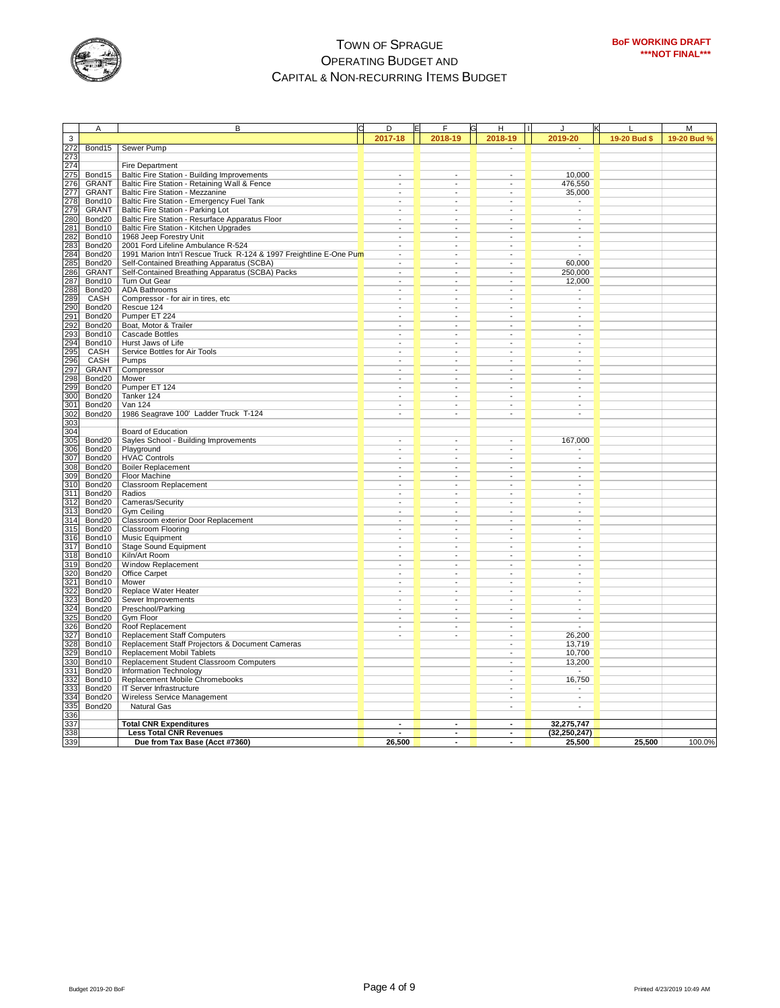

|                                        | Α                  | В                                                                                    | D                                          | F                                                    | Н                                                    | $\mathbf{I}$<br>J                          |              | M           |
|----------------------------------------|--------------------|--------------------------------------------------------------------------------------|--------------------------------------------|------------------------------------------------------|------------------------------------------------------|--------------------------------------------|--------------|-------------|
| 3                                      |                    |                                                                                      | 2017-18                                    | 2018-19                                              | 2018-19                                              | 2019-20                                    | 19-20 Bud \$ | 19-20 Bud % |
| 272                                    | Bond15             | <b>Sewer Pump</b>                                                                    |                                            |                                                      | τ                                                    | $\sim$                                     |              |             |
|                                        |                    |                                                                                      |                                            |                                                      |                                                      |                                            |              |             |
| 273<br>274                             |                    | <b>Fire Department</b>                                                               |                                            |                                                      |                                                      |                                            |              |             |
|                                        | Bond15             | Baltic Fire Station - Building Improvements                                          |                                            |                                                      |                                                      | 10,000                                     |              |             |
| 275<br>276                             | <b>GRANT</b>       | Baltic Fire Station - Retaining Wall & Fence                                         |                                            | ٠                                                    |                                                      | 476,550                                    |              |             |
| 277                                    | <b>GRANT</b>       | Baltic Fire Station - Mezzanine                                                      | $\overline{\phantom{a}}$                   | $\overline{\phantom{a}}$                             | $\overline{\phantom{a}}$                             | 35,000                                     |              |             |
| 278                                    | Bond10             | Baltic Fire Station - Emergency Fuel Tank                                            |                                            | $\overline{a}$                                       | ÷.                                                   | $\blacksquare$                             |              |             |
| 279                                    | <b>GRANT</b>       |                                                                                      |                                            |                                                      |                                                      | $\mathbf{r}$                               |              |             |
| 280                                    | Bond20             | Baltic Fire Station - Parking Lot<br>Baltic Fire Station - Resurface Apparatus Floor |                                            | $\overline{a}$                                       |                                                      | $\overline{a}$                             |              |             |
| 281                                    | Bond10             | Baltic Fire Station - Kitchen Upgrades                                               |                                            | ٠                                                    |                                                      | ٠                                          |              |             |
| 282                                    | Bond10             | 1968 Jeep Forestry Unit                                                              |                                            | $\overline{\phantom{0}}$                             | ÷,                                                   | $\blacksquare$                             |              |             |
| 283                                    | Bond20             | 2001 Ford Lifeline Ambulance R-524                                                   |                                            |                                                      |                                                      | $\overline{\phantom{a}}$                   |              |             |
|                                        | Bond <sub>20</sub> | 1991 Marion Intn'l Rescue Truck R-124 & 1997 Freightline E-One Pum                   |                                            | $\blacksquare$                                       | ÷                                                    |                                            |              |             |
| 284<br>285                             | Bond20             | Self-Contained Breathing Apparatus (SCBA)                                            | $\overline{\phantom{a}}$                   | $\overline{\phantom{a}}$                             | $\overline{\phantom{a}}$                             | 60,000                                     |              |             |
| 286                                    | <b>GRANT</b>       | Self-Contained Breathing Apparatus (SCBA) Packs                                      | $\overline{\phantom{a}}$                   | $\overline{\phantom{a}}$                             | $\overline{\phantom{a}}$                             | 250,000                                    |              |             |
| 287                                    | Bond10             | Turn Out Gear                                                                        |                                            | $\overline{a}$                                       |                                                      |                                            |              |             |
|                                        | Bond <sub>20</sub> | <b>ADA Bathrooms</b>                                                                 |                                            | $\overline{a}$                                       |                                                      | 12,000<br>٠                                |              |             |
| 288<br>289                             | CASH               | Compressor - for air in tires, etc                                                   |                                            | $\overline{a}$                                       | ٠                                                    | $\overline{a}$                             |              |             |
| 290                                    |                    | Rescue 124                                                                           |                                            | $\overline{a}$                                       | $\overline{a}$                                       | $\overline{a}$                             |              |             |
|                                        | Bond20             | Pumper ET 224                                                                        |                                            |                                                      |                                                      |                                            |              |             |
|                                        | Bond20<br>Bond20   | Boat, Motor & Trailer                                                                |                                            | ÷                                                    | ÷,                                                   | $\blacksquare$                             |              |             |
|                                        |                    |                                                                                      |                                            |                                                      |                                                      |                                            |              |             |
| $\frac{291}{292}$<br>$\frac{292}{293}$ | Bond10<br>Bond10   | <b>Cascade Bottles</b><br>Hurst Jaws of Life                                         | $\blacksquare$<br>$\overline{\phantom{a}}$ | $\overline{\phantom{a}}$<br>$\overline{\phantom{a}}$ | $\overline{\phantom{a}}$<br>$\overline{\phantom{a}}$ | $\sim$<br>$\blacksquare$                   |              |             |
| 295                                    |                    |                                                                                      | $\blacksquare$                             |                                                      | $\blacksquare$                                       |                                            |              |             |
|                                        | CASH               | Service Bottles for Air Tools                                                        |                                            | $\overline{\phantom{a}}$<br>÷.                       |                                                      | $\overline{\phantom{a}}$<br>$\overline{a}$ |              |             |
| 296                                    | CASH               | Pumps                                                                                |                                            |                                                      |                                                      |                                            |              |             |
| 297                                    | <b>GRANT</b>       | Compressor                                                                           |                                            | ٠                                                    |                                                      | ÷.                                         |              |             |
| 298<br>299                             | Bond20             | Mower                                                                                |                                            | $\overline{a}$<br>$\overline{a}$                     | $\overline{a}$                                       | $\overline{a}$<br>$\overline{a}$           |              |             |
|                                        | Bond20             | Pumper ET 124                                                                        |                                            |                                                      |                                                      |                                            |              |             |
| 300                                    | Bond20             | Tanker 124<br><b>Van 124</b>                                                         |                                            | $\overline{\phantom{a}}$                             | $\overline{\phantom{a}}$                             | $\overline{\phantom{a}}$                   |              |             |
| 301                                    | Bond20             |                                                                                      | $\overline{\phantom{a}}$                   | $\overline{\phantom{a}}$                             | $\overline{\phantom{a}}$                             | $\overline{\phantom{a}}$                   |              |             |
| 302                                    | Bond20             | 1986 Seagrave 100' Ladder Truck T-124                                                | $\overline{\phantom{a}}$                   | $\overline{\phantom{a}}$                             | $\overline{\phantom{a}}$                             | $\overline{\phantom{a}}$                   |              |             |
| 303<br>304                             |                    |                                                                                      |                                            |                                                      |                                                      |                                            |              |             |
|                                        |                    | Board of Education                                                                   |                                            |                                                      |                                                      |                                            |              |             |
| 305                                    | Bond20             | Sayles School - Building Improvements                                                |                                            |                                                      |                                                      | 167,000                                    |              |             |
| 306                                    | Bond <sub>20</sub> | Playground                                                                           |                                            | $\overline{a}$                                       | $\overline{a}$                                       | ٠                                          |              |             |
| 307                                    | Bond20             | <b>HVAC Controls</b>                                                                 |                                            | $\overline{\phantom{0}}$                             |                                                      | ÷,                                         |              |             |
| 308                                    | Bond20             | <b>Boiler Replacement</b>                                                            |                                            |                                                      |                                                      |                                            |              |             |
| 309                                    | Bond20             | Floor Machine                                                                        |                                            | $\overline{\phantom{a}}$                             |                                                      | $\overline{\phantom{a}}$                   |              |             |
| 310                                    | Bond20             | <b>Classroom Replacement</b>                                                         | $\overline{\phantom{a}}$                   | $\overline{\phantom{a}}$                             | $\overline{\phantom{a}}$                             | $\overline{\phantom{a}}$                   |              |             |
| 311                                    | Bond20             | Radios                                                                               | $\blacksquare$                             | $\blacksquare$                                       | $\sim$                                               | $\blacksquare$                             |              |             |
| 312                                    | Bond20             | Cameras/Security                                                                     | $\blacksquare$                             | $\overline{a}$                                       |                                                      | $\overline{\phantom{a}}$                   |              |             |
| 313                                    | Bond <sub>20</sub> | Gym Ceiling                                                                          |                                            | $\overline{a}$                                       |                                                      | $\overline{a}$                             |              |             |
| 314                                    | Bond20             | Classroom exterior Door Replacement                                                  |                                            | $\overline{a}$                                       |                                                      | $\overline{a}$                             |              |             |
| 315                                    | Bond20             | <b>Classroom Flooring</b>                                                            |                                            | $\overline{a}$                                       |                                                      |                                            |              |             |
| $\frac{316}{317}$                      | Bond10             | <b>Music Equipment</b>                                                               |                                            |                                                      |                                                      |                                            |              |             |
|                                        | Bond10             | <b>Stage Sound Equipment</b>                                                         |                                            | $\overline{\phantom{a}}$                             |                                                      | ÷                                          |              |             |
| 318                                    | Bond10             | Kiln/Art Room                                                                        | $\blacksquare$                             | $\blacksquare$                                       | $\overline{\phantom{a}}$                             | $\overline{\phantom{a}}$                   |              |             |
| 319                                    | Bond <sub>20</sub> | <b>Window Replacement</b>                                                            | $\overline{\phantom{a}}$                   | $\blacksquare$                                       | $\overline{\phantom{a}}$                             | $\blacksquare$                             |              |             |
| 320                                    | Bond20             | Office Carpet                                                                        | $\blacksquare$                             | $\overline{\phantom{a}}$                             | ÷,                                                   | $\blacksquare$                             |              |             |
| 321                                    | Bond10             | Mower                                                                                |                                            | ÷.                                                   |                                                      | $\sim$                                     |              |             |
| 322                                    | Bond <sub>20</sub> | Replace Water Heater                                                                 |                                            | $\overline{\phantom{0}}$                             |                                                      | $\overline{\phantom{a}}$                   |              |             |
| 323                                    | Bond20             | Sewer Improvements                                                                   |                                            | ٠                                                    |                                                      | ٠                                          |              |             |
| 324                                    | Bond20             | Preschool/Parking                                                                    |                                            | $\overline{a}$                                       | $\overline{a}$                                       | Ξ                                          |              |             |
| 325<br>326                             | Bond20             | Gym Floor                                                                            |                                            | $\overline{\phantom{a}}$                             |                                                      | $\overline{\phantom{a}}$                   |              |             |
|                                        | Bond20             | Roof Replacement                                                                     |                                            | $\overline{\phantom{a}}$                             | $\overline{\phantom{a}}$                             |                                            |              |             |
| 327                                    | Bond10             | <b>Replacement Staff Computers</b>                                                   | $\overline{\phantom{a}}$                   | $\overline{\phantom{a}}$                             | $\overline{\phantom{a}}$                             | 26,200                                     |              |             |
| 328                                    | Bond10             | Replacement Staff Projectors & Document Cameras                                      |                                            |                                                      |                                                      | 13,719                                     |              |             |
| 329                                    | Bond10             | <b>Replacement Mobil Tablets</b>                                                     |                                            |                                                      |                                                      | 10,700                                     |              |             |
| 330                                    | Bond10             | Replacement Student Classroom Computers                                              |                                            |                                                      |                                                      | 13,200                                     |              |             |
| 331                                    | Bond20             | Information Technology                                                               |                                            |                                                      |                                                      |                                            |              |             |
| 332                                    | Bond10             | Replacement Mobile Chromebooks                                                       |                                            |                                                      |                                                      | 16,750                                     |              |             |
| 333                                    | Bond20             | IT Server Infrastructure                                                             |                                            |                                                      |                                                      |                                            |              |             |
| 334                                    | Bond20             | Wireless Service Management                                                          |                                            |                                                      |                                                      | $\overline{\phantom{a}}$                   |              |             |
| 335                                    | Bond <sub>20</sub> | <b>Natural Gas</b>                                                                   |                                            |                                                      | $\overline{\phantom{a}}$                             | $\overline{\phantom{a}}$                   |              |             |
| 336                                    |                    |                                                                                      |                                            |                                                      |                                                      |                                            |              |             |
| 337                                    |                    | <b>Total CNR Expenditures</b>                                                        |                                            | ٠                                                    | $\blacksquare$                                       | 32,275,747                                 |              |             |
| 338                                    |                    | <b>Less Total CNR Revenues</b>                                                       |                                            | $\overline{a}$                                       | $\overline{a}$                                       | (32, 250, 247)                             |              |             |
| 339                                    |                    | Due from Tax Base (Acct #7360)                                                       | 26,500                                     | $\overline{a}$                                       | $\overline{\phantom{a}}$                             | 25,500                                     | 25,500       | 100.0%      |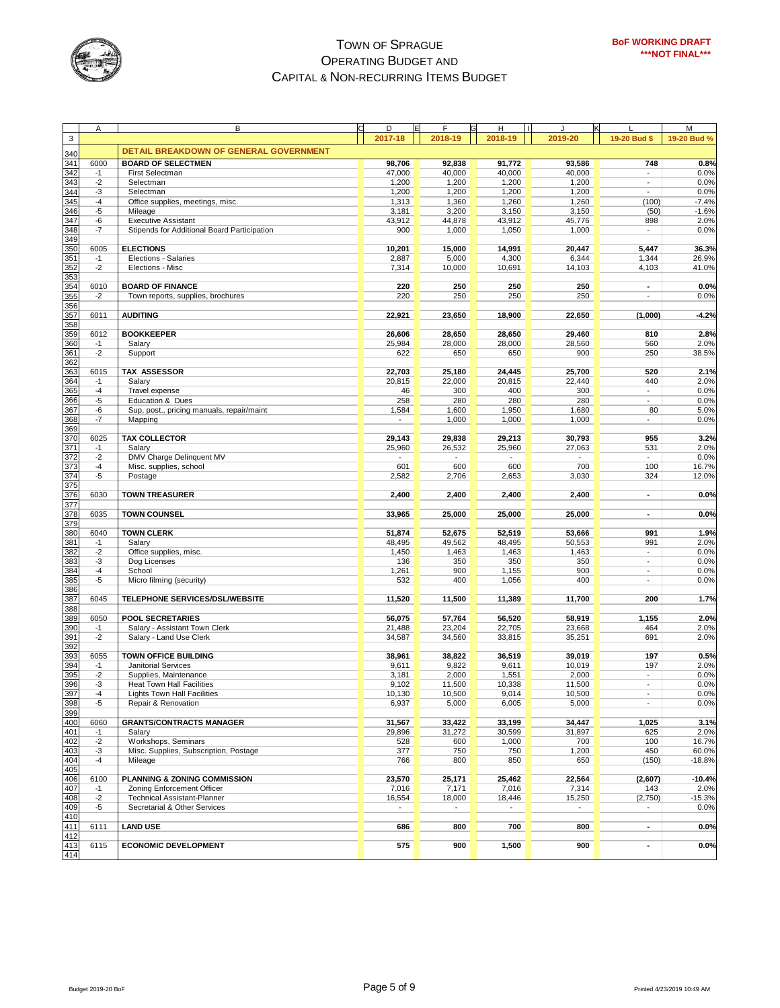

|                                        | Α    | B                                           | D       | E | F       | н                        |         |                          | M           |
|----------------------------------------|------|---------------------------------------------|---------|---|---------|--------------------------|---------|--------------------------|-------------|
| 3                                      |      |                                             | 2017-18 |   | 2018-19 | 2018-19                  | 2019-20 | 19-20 Bud \$             | 19-20 Bud % |
|                                        |      | DETAIL BREAKDOWN OF GENERAL GOVERNMENT      |         |   |         |                          |         |                          |             |
| 340                                    |      |                                             |         |   |         |                          |         |                          |             |
| 341                                    | 6000 | <b>BOARD OF SELECTMEN</b>                   | 98,706  |   | 92,838  | 91,772                   | 93,586  | 748                      | 0.8%        |
| 342                                    | $-1$ | First Selectman                             | 47,000  |   | 40,000  | 40,000                   | 40,000  |                          | 0.0%        |
| $rac{343}{ }$                          | $-2$ | Selectman                                   | 1,200   |   | 1,200   | 1,200                    | 1,200   | $\blacksquare$           | 0.0%        |
| 344                                    | -3   | Selectman                                   | 1,200   |   | 1,200   | 1,200                    | 1,200   | ÷.                       | 0.0%        |
| 345                                    | $-4$ | Office supplies, meetings, misc.            | 1,313   |   | 1,360   | 1,260                    | 1,260   | (100)                    | $-7.4%$     |
| 346                                    | -5   | Mileage                                     | 3,181   |   | 3,200   | 3,150                    | 3,150   | (50)                     | $-1.6%$     |
| 347                                    | -6   | <b>Executive Assistant</b>                  | 43,912  |   | 44,878  | 43,912                   | 45,776  | 898                      | 2.0%        |
| 348                                    | -7   | Stipends for Additional Board Participation | 900     |   | 1,000   | 1,050                    | 1,000   | ÷.                       | 0.0%        |
| 349                                    |      |                                             |         |   |         |                          |         |                          |             |
| 350                                    | 6005 | <b>ELECTIONS</b>                            | 10,201  |   | 15,000  | 14,991                   | 20,447  | 5,447                    | 36.3%       |
| 351                                    | $-1$ | Elections - Salaries                        | 2,887   |   | 5,000   | 4,300                    | 6,344   | 1,344                    | 26.9%       |
| 352                                    | $-2$ | Elections - Misc                            | 7,314   |   | 10,000  | 10,691                   | 14,103  | 4,103                    | 41.0%       |
| 353                                    |      |                                             |         |   |         |                          |         |                          |             |
| 354                                    | 6010 | <b>BOARD OF FINANCE</b>                     | 220     |   | 250     | 250                      | 250     |                          | 0.0%        |
| 355                                    | $-2$ | Town reports, supplies, brochures           | 220     |   | 250     | 250                      | 250     |                          | 0.0%        |
| 356                                    |      |                                             |         |   |         |                          |         |                          |             |
| 357                                    | 6011 | <b>AUDITING</b>                             | 22,921  |   | 23,650  | 18,900                   | 22,650  | (1,000)                  | $-4.2%$     |
| 358                                    |      |                                             |         |   |         |                          |         |                          |             |
| 359                                    | 6012 | <b>BOOKKEEPER</b>                           | 26,606  |   | 28,650  | 28,650                   | 29,460  | 810                      | 2.8%        |
| 360                                    | $-1$ | Salary                                      | 25,984  |   | 28,000  | 28,000                   | 28,560  | 560                      | 2.0%        |
| 361                                    | $-2$ | Support                                     | 622     |   | 650     | 650                      | 900     | 250                      | 38.5%       |
| 362                                    |      |                                             |         |   |         |                          |         |                          |             |
| 363                                    | 6015 | <b>TAX ASSESSOR</b>                         | 22,703  |   | 25,180  | 24,445                   | 25,700  | 520                      | 2.1%        |
| 364                                    | $-1$ | Salary                                      | 20,815  |   | 22,000  | 20,815                   | 22,440  | 440                      | 2.0%        |
| 365                                    | $-4$ | Travel expense                              | 46      |   | 300     | 400                      | 300     | ÷.                       | 0.0%        |
| 366                                    | -5   | Education & Dues                            | 258     |   | 280     | 280                      | 280     | ٠                        | 0.0%        |
| 367                                    | -6   | Sup, post., pricing manuals, repair/maint   | 1,584   |   | 1,600   | 1,950                    | 1,680   | 80                       | 5.0%        |
| 368                                    | $-7$ | Mapping                                     |         |   | 1,000   | 1,000                    | 1,000   | $\overline{\phantom{a}}$ | 0.0%        |
| 369                                    |      |                                             |         |   |         |                          |         |                          |             |
| 370                                    | 6025 | <b>TAX COLLECTOR</b>                        | 29,143  |   | 29,838  | 29,213                   | 30,793  | 955                      | 3.2%        |
|                                        | $-1$ | Salary                                      | 25,960  |   | 26,532  | 25,960                   | 27,063  | 531                      | 2.0%        |
| 371<br>372                             | $-2$ |                                             |         |   |         |                          |         | $\blacksquare$           |             |
|                                        |      | DMV Charge Delinquent MV                    |         |   |         | $\overline{\phantom{a}}$ |         |                          | 0.0%        |
| 373<br>374                             | $-4$ | Misc. supplies, school                      | 601     |   | 600     | 600                      | 700     | 100                      | 16.7%       |
|                                        | $-5$ | Postage                                     | 2,582   |   | 2,706   | 2,653                    | 3,030   | 324                      | 12.0%       |
| 375                                    |      |                                             |         |   |         |                          |         |                          |             |
| 376                                    | 6030 | <b>TOWN TREASURER</b>                       | 2,400   |   | 2,400   | 2,400                    | 2,400   | $\overline{\phantom{a}}$ | 0.0%        |
| 377                                    |      |                                             |         |   |         |                          |         |                          |             |
| 378                                    | 6035 | <b>TOWN COUNSEL</b>                         | 33,965  |   | 25,000  | 25,000                   | 25,000  | $\blacksquare$           | 0.0%        |
| 379                                    |      |                                             |         |   |         |                          |         |                          |             |
| 380                                    | 6040 | <b>TOWN CLERK</b>                           | 51,874  |   | 52,675  | 52,519                   | 53,666  | 991                      | 1.9%        |
| 381                                    | $-1$ | Salary                                      | 48,495  |   | 49,562  | 48,495                   | 50,553  | 991                      | 2.0%        |
| 382                                    | $-2$ | Office supplies, misc.                      | 1,450   |   | 1,463   | 1,463                    | 1,463   | $\overline{\phantom{m}}$ | 0.0%        |
| 383                                    | $-3$ | Dog Licenses                                | 136     |   | 350     | 350                      | 350     | $\overline{\phantom{a}}$ | 0.0%        |
| 384                                    | $-4$ | School                                      | 1,261   |   | 900     | 1,155                    | 900     | $\overline{\phantom{a}}$ | 0.0%        |
| 385                                    | $-5$ | Micro filming (security)                    | 532     |   | 400     | 1,056                    | 400     | $\overline{\phantom{a}}$ | 0.0%        |
| 386                                    |      |                                             |         |   |         |                          |         |                          |             |
| 387                                    | 6045 | <b>TELEPHONE SERVICES/DSL/WEBSITE</b>       | 11,520  |   | 11,500  | 11,389                   | 11,700  | 200                      | 1.7%        |
| 388                                    |      |                                             |         |   |         |                          |         |                          |             |
| 389                                    | 6050 | <b>POOL SECRETARIES</b>                     | 56,075  |   | 57,764  | 56,520                   | 58,919  | 1,155                    | 2.0%        |
| 390                                    | $-1$ | Salary - Assistant Town Clerk               | 21,488  |   | 23,204  | 22,705                   | 23,668  | 464                      | 2.0%        |
| 391                                    | $-2$ | Salary - Land Use Clerk                     | 34,587  |   | 34,560  | 33,815                   | 35,251  | 691                      | 2.0%        |
| 392                                    |      |                                             |         |   |         |                          |         |                          |             |
| 393                                    | 6055 | <b>TOWN OFFICE BUILDING</b>                 | 38,961  |   | 38,822  | 36,519                   | 39,019  | 197                      | 0.5%        |
| 394                                    | $-1$ | Janitorial Services                         | 9,611   |   | 9,822   | 9,611                    | 10,019  | 197                      | 2.0%        |
| 395                                    | $-2$ | Supplies, Maintenance                       | 3,181   |   | 2,000   | 1,551                    | 2,000   | $\blacksquare$           | 0.0%        |
| 396                                    | -3   | Heat Town Hall Facilities                   | 9,102   |   | 11,500  | 10,338                   | 11,500  | $\overline{a}$           | 0.0%        |
| 39/                                    | -4   | Lights Town Hall Facilities                 | 10,130  |   | 10,500  | 9,014                    | 10,500  |                          | 0.0%        |
|                                        | -5   | Repair & Renovation                         | 6,937   |   | 5,000   | 6,005                    | 5,000   |                          | 0.0%        |
| 398<br>399                             |      |                                             |         |   |         |                          |         |                          |             |
| 400                                    | 6060 | <b>GRANTS/CONTRACTS MANAGER</b>             | 31,567  |   | 33,422  | 33,199                   | 34,447  | 1,025                    | 3.1%        |
| 401                                    | $-1$ | Salary                                      | 29,896  |   | 31,272  | 30,599                   | 31,897  | 625                      | 2.0%        |
| 402                                    | $-2$ | Workshops, Seminars                         | 528     |   | 600     | 1,000                    | 700     | 100                      | 16.7%       |
| 403                                    | $-3$ | Misc. Supplies, Subscription, Postage       | 377     |   | 750     | 750                      | 1,200   | 450                      | 60.0%       |
| 404                                    | $-4$ | Mileage                                     | 766     |   | 800     | 850                      | 650     |                          | $-18.8%$    |
| 405                                    |      |                                             |         |   |         |                          |         | (150)                    |             |
| 406                                    | 6100 | PLANNING & ZONING COMMISSION                | 23,570  |   | 25,171  | 25,462                   | 22,564  | (2,607)                  | $-10.4%$    |
|                                        |      |                                             |         |   |         |                          |         |                          |             |
| 407                                    | $-1$ | Zoning Enforcement Officer                  | 7,016   |   | 7,171   | 7,016                    | 7,314   | 143                      | 2.0%        |
| 408                                    | $-2$ | <b>Technical Assistant-Planner</b>          | 16,554  |   | 18,000  | 18,446                   | 15,250  | (2,750)                  | $-15.3%$    |
| 409<br>410                             | -5   | Secretarial & Other Services                | ۰       |   | ÷       | $\blacksquare$           | $\sim$  |                          | 0.0%        |
|                                        |      |                                             |         |   |         |                          |         |                          |             |
| 411                                    | 6111 | <b>LAND USE</b>                             | 686     |   | 800     | 700                      | 800     | $\blacksquare$           | 0.0%        |
| $\frac{412}{413}$<br>$\frac{413}{414}$ |      |                                             |         |   |         |                          |         |                          |             |
|                                        | 6115 | <b>ECONOMIC DEVELOPMENT</b>                 | 575     |   | 900     | 1,500                    | 900     | ٠                        | 0.0%        |
|                                        |      |                                             |         |   |         |                          |         |                          |             |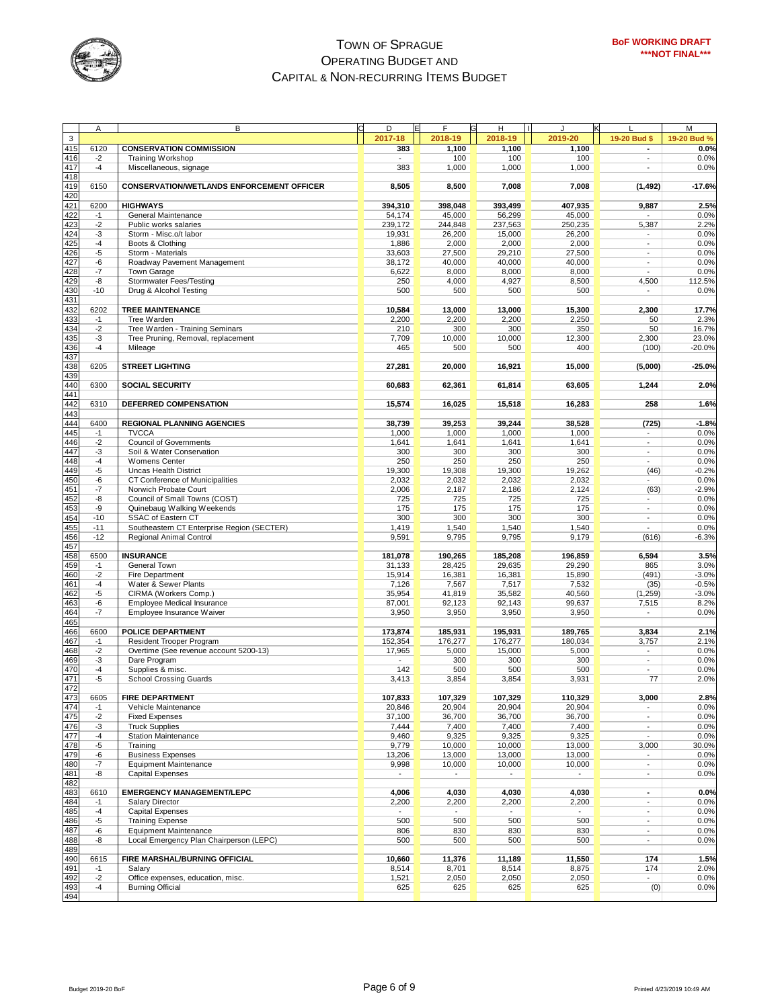

|                                               | Α     | B                                                | Ć<br>D                   | E<br>F  | H                        |         |                          | M           |
|-----------------------------------------------|-------|--------------------------------------------------|--------------------------|---------|--------------------------|---------|--------------------------|-------------|
| $\mathsf 3$                                   |       |                                                  | 2017-18                  | 2018-19 | 2018-19                  | 2019-20 | 19-20 Bud \$             | 19-20 Bud % |
| 415                                           | 6120  | <b>CONSERVATION COMMISSION</b>                   | 383                      | 1,100   | 1,100                    | 1,100   | ٠                        | 0.0%        |
|                                               |       |                                                  |                          |         |                          |         | $\overline{a}$           |             |
| 416                                           | $-2$  | Training Workshop                                |                          | 100     | 100                      | 100     |                          | 0.0%        |
| 417                                           | $-4$  | Miscellaneous, signage                           | 383                      | 1,000   | 1,000                    | 1,000   | $\overline{\phantom{a}}$ | 0.0%        |
| 418                                           |       |                                                  |                          |         |                          |         |                          |             |
| 419                                           | 6150  | <b>CONSERVATION/WETLANDS ENFORCEMENT OFFICER</b> | 8,505                    | 8,500   | 7,008                    | 7,008   | (1, 492)                 | $-17.6%$    |
| 420                                           |       |                                                  |                          |         |                          |         |                          |             |
| 421                                           | 6200  | <b>HIGHWAYS</b>                                  | 394,310                  | 398,048 | 393,499                  | 407,935 | 9,887                    | 2.5%        |
| 422                                           | $-1$  | General Maintenance                              | 54,174                   | 45,000  | 56,299                   | 45,000  |                          | 0.0%        |
| 423                                           | $-2$  | Public works salaries                            | 239,172                  | 244,848 | 237,563                  | 250,235 | 5,387                    | 2.2%        |
| 424                                           | -3    | Storm - Misc.o/t labor                           | 19,931                   | 26,200  | 15,000                   | 26,200  |                          | 0.0%        |
| 425                                           | $-4$  | Boots & Clothing                                 | 1,886                    | 2,000   | 2,000                    | 2,000   | ÷,                       | 0.0%        |
| 426                                           | -5    | Storm - Materials                                | 33,603                   | 27,500  | 29,210                   | 27,500  | $\overline{\phantom{a}}$ | 0.0%        |
| 427                                           | -6    | Roadway Pavement Management                      | 38,172                   | 40,000  | 40,000                   | 40,000  | $\overline{a}$           | 0.0%        |
| 428                                           | $-7$  | Town Garage                                      | 6,622                    | 8,000   | 8,000                    | 8,000   |                          | 0.0%        |
| 429                                           | -8    | Stormwater Fees/Testing                          | 250                      | 4,000   | 4,927                    | 8,500   | 4,500                    | 112.5%      |
| 430                                           | $-10$ | Drug & Alcohol Testing                           | 500                      | 500     | 500                      | 500     |                          | 0.0%        |
| 431                                           |       |                                                  |                          |         |                          |         |                          |             |
|                                               |       |                                                  |                          |         |                          |         |                          |             |
| 432                                           | 6202  | <b>TREE MAINTENANCE</b>                          | 10,584                   | 13,000  | 13,000                   | 15,300  | 2,300                    | 17.7%       |
| 433                                           | $-1$  | Tree Warden                                      | 2,200                    | 2,200   | 2,200                    | 2,250   | 50                       | 2.3%        |
| 434                                           | $-2$  | Tree Warden - Training Seminars                  | 210                      | 300     | 300                      | 350     | 50                       | 16.7%       |
| 435                                           | -3    | Tree Pruning, Removal, replacement               | 7,709                    | 10,000  | 10,000                   | 12,300  | 2,300                    | 23.0%       |
| 436                                           | $-4$  | Mileage                                          | 465                      | 500     | 500                      | 400     | (100)                    | $-20.0%$    |
| 437                                           |       |                                                  |                          |         |                          |         |                          |             |
| 438                                           | 6205  | <b>STREET LIGHTING</b>                           | 27,281                   | 20,000  | 16,921                   | 15,000  | (5,000)                  | $-25.0%$    |
| 439                                           |       |                                                  |                          |         |                          |         |                          |             |
| 440                                           | 6300  | <b>SOCIAL SECURITY</b>                           | 60,683                   | 62,361  | 61,814                   | 63,605  | 1,244                    | 2.0%        |
| 441                                           |       |                                                  |                          |         |                          |         |                          |             |
| 442                                           | 6310  | DEFERRED COMPENSATION                            | 15,574                   | 16,025  | 15,518                   | 16,283  | 258                      | 1.6%        |
| 443                                           |       |                                                  |                          |         |                          |         |                          |             |
| 444                                           | 6400  | <b>REGIONAL PLANNING AGENCIES</b>                | 38,739                   | 39,253  | 39,244                   | 38,528  | (725)                    | $-1.8%$     |
|                                               |       |                                                  |                          |         |                          |         |                          |             |
| 445<br>446                                    | $-1$  | <b>TVCCA</b>                                     | 1,000                    | 1,000   | 1,000                    | 1,000   |                          | 0.0%        |
|                                               | $-2$  | <b>Council of Governments</b>                    | 1,641                    | 1,641   | 1,641                    | 1,641   | $\blacksquare$           | 0.0%        |
| 447                                           | -3    | Soil & Water Conservation                        | 300                      | 300     | 300                      | 300     | $\blacksquare$           | 0.0%        |
| 448                                           | $-4$  | <b>Womens Center</b>                             | 250                      | 250     | 250                      | 250     | $\overline{a}$           | 0.0%        |
| 449                                           | -5    | Uncas Health District                            | 19,300                   | 19,308  | 19,300                   | 19,262  | (46)                     | $-0.2%$     |
| 450                                           | -6    | CT Conference of Municipalities                  | 2,032                    | 2,032   | 2,032                    | 2,032   |                          | 0.0%        |
| 451                                           | -7    | Norwich Probate Court                            | 2,006                    | 2,187   | 2,186                    | 2,124   | (63)                     | $-2.9%$     |
| 452                                           | -8    | Council of Small Towns (COST)                    | 725                      | 725     | 725                      | 725     | $\overline{\phantom{a}}$ | 0.0%        |
| 453                                           | -9    | Quinebaug Walking Weekends                       | 175                      | 175     | 175                      | 175     | $\blacksquare$           | 0.0%        |
| 454                                           | $-10$ | SSAC of Eastern CT                               | 300                      | 300     | 300                      | 300     | $\frac{1}{2}$            | 0.0%        |
| 455                                           | $-11$ | Southeastern CT Enterprise Region (SECTER)       | 1,419                    | 1,540   | 1,540                    | 1,540   | $\sim$                   | 0.0%        |
| 456                                           | $-12$ | Regional Animal Control                          | 9,591                    | 9,795   | 9,795                    | 9,179   | (616)                    | $-6.3%$     |
| 457                                           |       |                                                  |                          |         |                          |         |                          |             |
| 458                                           | 6500  | <b>INSURANCE</b>                                 | 181,078                  | 190,265 | 185,208                  | 196,859 | 6,594                    | 3.5%        |
| 459                                           | $-1$  | General Town                                     | 31,133                   | 28,425  | 29,635                   | 29,290  | 865                      | 3.0%        |
| 460                                           | $-2$  | Fire Department                                  | 15,914                   | 16,381  | 16,381                   | 15,890  | (491)                    | $-3.0%$     |
| 461                                           | $-4$  | Water & Sewer Plants                             |                          |         |                          |         |                          | $-0.5%$     |
|                                               |       |                                                  | 7,126                    | 7,567   | 7,517                    | 7,532   | (35)                     |             |
| 462                                           | $-5$  | CIRMA (Workers Comp.)                            | 35,954                   | 41,819  | 35,582                   | 40,560  | (1, 259)                 | $-3.0%$     |
| 463                                           | -6    | Employee Medical Insurance                       | 87,001                   | 92,123  | 92,143                   | 99,637  | 7,515                    | 8.2%        |
| 464                                           | $-7$  | Employee Insurance Waiver                        | 3,950                    | 3,950   | 3,950                    | 3,950   |                          | 0.0%        |
| 465                                           |       |                                                  |                          |         |                          |         |                          |             |
| 466                                           | 6600  | <b>POLICE DEPARTMENT</b>                         | 173,874                  | 185,931 | 195,931                  | 189,765 | 3,834                    | 2.1%        |
| 467                                           | $-1$  | Resident Trooper Program                         | 152,354                  | 176,277 | 176,277                  | 180,034 | 3,757                    | 2.1%        |
| 468                                           | $-2$  | Overtime (See revenue account 5200-13)           | 17,965                   | 5,000   | 15,000                   | 5,000   |                          | 0.0%        |
| 469                                           | -3    | Dare Program                                     |                          | 300     | 300                      | 300     | $\overline{\phantom{a}}$ | 0.0%        |
| 470                                           | $-4$  | Supplies & misc.                                 | 142                      | 500     | 500                      | 500     |                          | 0.0%        |
| 471                                           | -5    | <b>School Crossing Guards</b>                    | 3,413                    | 3,854   | 3,854                    | 3,931   | 77                       | 2.0%        |
| 472                                           |       |                                                  |                          |         |                          |         |                          |             |
|                                               | 6605  | <b>FIRE DEPARTMENT</b>                           | 107,833                  | 107,329 | 107,329                  | 110,329 | 3,000                    | 2.8%        |
|                                               | $-1$  | Vehicle Maintenance                              | 20,846                   | 20,904  | 20,904                   | 20,904  |                          | 0.0%        |
|                                               | $-2$  | <b>Fixed Expenses</b>                            | 37,100                   | 36,700  | 36,700                   | 36,700  | $\overline{\phantom{a}}$ | 0.0%        |
|                                               | -3    | <b>Truck Supplies</b>                            | 7,444                    | 7,400   | 7,400                    | 7,400   | $\overline{a}$           | 0.0%        |
| 473<br>474<br>475<br>476<br>477<br>478<br>479 | -4    | <b>Station Maintenance</b>                       | 9,460                    | 9,325   | 9,325                    | 9,325   | $\overline{a}$           | 0.0%        |
|                                               | -5    | Training                                         | 9,779                    | 10,000  | 10,000                   | 13,000  | 3,000                    | 30.0%       |
|                                               | -6    | <b>Business Expenses</b>                         | 13,206                   | 13,000  | 13,000                   | 13,000  |                          | 0.0%        |
| 480                                           | -7    | <b>Equipment Maintenance</b>                     | 9,998                    | 10,000  | 10,000                   | 10,000  | $\blacksquare$           | 0.0%        |
| 481                                           |       | <b>Capital Expenses</b>                          | $\overline{\phantom{a}}$ |         |                          |         | $\blacksquare$           |             |
| 482                                           | -8    |                                                  |                          | $\sim$  | $\overline{\phantom{a}}$ | $\sim$  |                          | 0.0%        |
|                                               |       |                                                  |                          |         |                          |         |                          |             |
| 483                                           | 6610  | <b>EMERGENCY MANAGEMENT/LEPC</b>                 | 4,006                    | 4,030   | 4,030                    | 4,030   | $\overline{\phantom{a}}$ | 0.0%        |
| 484                                           | $-1$  | <b>Salary Director</b>                           | 2,200                    | 2,200   | 2,200                    | 2,200   | $\overline{\phantom{a}}$ | 0.0%        |
| 485                                           | $-4$  | <b>Capital Expenses</b>                          |                          |         |                          |         | $\frac{1}{2}$            | 0.0%        |
| 486                                           | -5    | <b>Training Expense</b>                          | 500                      | 500     | 500                      | 500     | $\overline{\phantom{a}}$ | 0.0%        |
| 487                                           | -6    | <b>Equipment Maintenance</b>                     | 806                      | 830     | 830                      | 830     | $\frac{1}{2}$            | 0.0%        |
| 488                                           | -8    | Local Emergency Plan Chairperson (LEPC)          | 500                      | 500     | 500                      | 500     | $\overline{\phantom{a}}$ | 0.0%        |
| 489                                           |       |                                                  |                          |         |                          |         |                          |             |
| 490                                           | 6615  | FIRE MARSHAL/BURNING OFFICIAL                    | 10,660                   | 11,376  | 11,189                   | 11,550  | 174                      | 1.5%        |
| 491                                           | $-1$  | Salary                                           | 8,514                    | 8,701   | 8,514                    | 8,875   | 174                      | 2.0%        |
| 492                                           | $-2$  | Office expenses, education, misc.                | 1,521                    | 2,050   | 2,050                    | 2,050   | ۰.                       | 0.0%        |
| 493                                           | $-4$  | <b>Burning Official</b>                          | 625                      | 625     | 625                      | 625     | (0)                      | 0.0%        |
| 494                                           |       |                                                  |                          |         |                          |         |                          |             |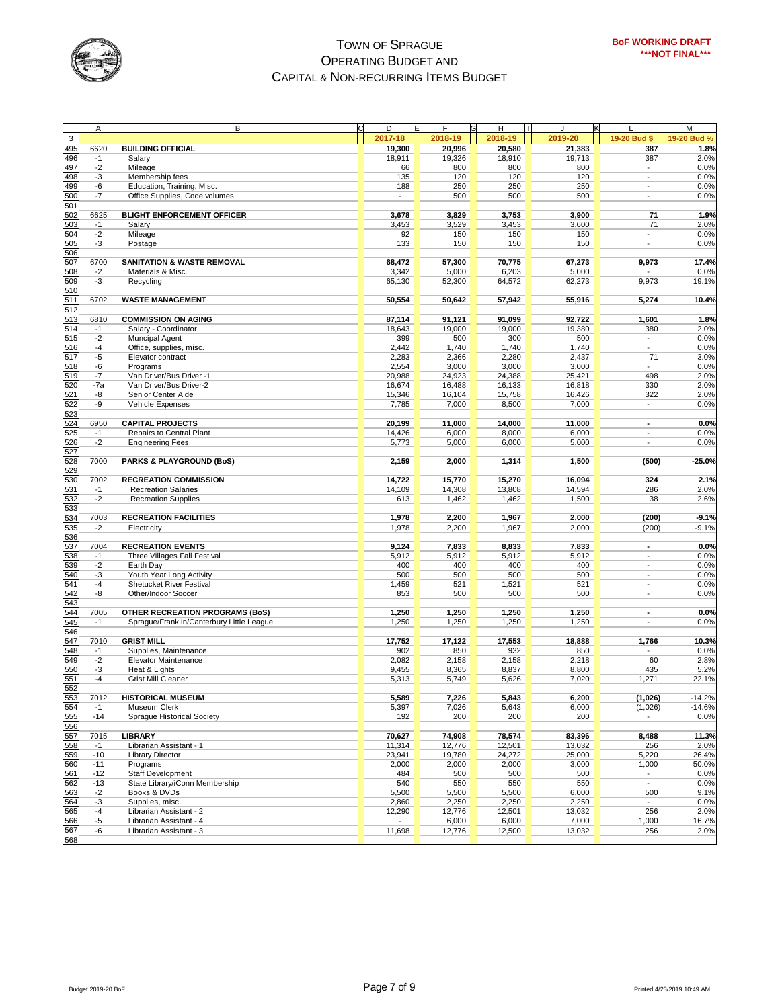

|            | Α     | B                                         | D       | F<br>Е  | н       | п<br>к  |                          | M           |
|------------|-------|-------------------------------------------|---------|---------|---------|---------|--------------------------|-------------|
|            |       |                                           | 2017-18 | 2018-19 | 2018-19 | 2019-20 | 19-20 Bud \$             | 19-20 Bud % |
| 3          |       |                                           |         |         |         |         |                          |             |
| 495        | 6620  | <b>BUILDING OFFICIAL</b>                  | 19,300  | 20,996  | 20,580  | 21,383  | 387                      | 1.8%        |
| 496        | $-1$  | Salary                                    | 18,911  | 19,326  | 18,910  | 19.713  | 387                      | 2.0%        |
| 497        | $-2$  | Mileage                                   | 66      | 800     | 800     | 800     | $\overline{\phantom{a}}$ | 0.0%        |
| 498        | -3    | Membership fees                           | 135     | 120     | 120     | 120     | $\blacksquare$           | 0.0%        |
| 499        | -6    | Education, Training, Misc.                | 188     | 250     | 250     | 250     | $\overline{\phantom{a}}$ | 0.0%        |
|            |       |                                           |         |         |         |         |                          |             |
| 500        | -7    | Office Supplies, Code volumes             |         | 500     | 500     | 500     | $\overline{\phantom{a}}$ | 0.0%        |
| 501        |       |                                           |         |         |         |         |                          |             |
| 502        | 6625  | <b>BLIGHT ENFORCEMENT OFFICER</b>         | 3,678   | 3,829   | 3,753   | 3,900   | 71                       | 1.9%        |
| 503        | $-1$  | Salary                                    | 3,453   | 3,529   | 3,453   | 3,600   | 71                       | 2.0%        |
| 504        | $-2$  | Mileage                                   | 92      | 150     | 150     | 150     | $\overline{\phantom{a}}$ | 0.0%        |
| 505        | -3    | Postage                                   | 133     | 150     | 150     | 150     | $\blacksquare$           | 0.0%        |
|            |       |                                           |         |         |         |         |                          |             |
| 506        |       |                                           |         |         |         |         |                          |             |
| 507        | 6700  | <b>SANITATION &amp; WASTE REMOVAL</b>     | 68,472  | 57,300  | 70,775  | 67,273  | 9,973                    | 17.4%       |
| 508        | $-2$  | Materials & Misc.                         | 3,342   | 5,000   | 6,203   | 5,000   |                          | 0.0%        |
| 509        | -3    | Recycling                                 | 65,130  | 52,300  | 64,572  | 62,273  | 9,973                    | 19.1%       |
| 510        |       |                                           |         |         |         |         |                          |             |
| 511        | 6702  | <b>WASTE MANAGEMENT</b>                   | 50,554  | 50,642  | 57,942  | 55,916  | 5,274                    | 10.4%       |
| 512        |       |                                           |         |         |         |         |                          |             |
| 513        |       |                                           |         |         |         |         |                          |             |
|            | 6810  | <b>COMMISSION ON AGING</b>                | 87,114  | 91,121  | 91,099  | 92,722  | 1,601                    | 1.8%        |
| 514        | $-1$  | Salary - Coordinator                      | 18,643  | 19,000  | 19,000  | 19,380  | 380                      | 2.0%        |
| 515        | $-2$  | Muncipal Agent                            | 399     | 500     | 300     | 500     | ÷.                       | 0.0%        |
| 516        | $-4$  | Office, supplies, misc.                   | 2,442   | 1,740   | 1,740   | 1,740   | $\overline{a}$           | 0.0%        |
| 517        | -5    | Elevator contract                         | 2,283   | 2,366   | 2,280   | 2,437   | 71                       | 3.0%        |
| 518        | -6    | Programs                                  | 2,554   | 3,000   | 3,000   | 3,000   |                          | 0.0%        |
| 519        | -7    | Van Driver/Bus Driver -1                  | 20,988  | 24,923  | 24,388  | 25,421  | 498                      | 2.0%        |
|            |       |                                           |         |         |         |         |                          |             |
| 520        | $-7a$ | Van Driver/Bus Driver-2                   | 16,674  | 16,488  | 16,133  | 16,818  | 330                      | 2.0%        |
| 521        | -8    | Senior Center Aide                        | 15,346  | 16,104  | 15,758  | 16,426  | 322                      | 2.0%        |
| 522        | -9    | Vehicle Expenses                          | 7,785   | 7,000   | 8,500   | 7,000   | $\overline{\phantom{a}}$ | 0.0%        |
| 523        |       |                                           |         |         |         |         |                          |             |
| 524        | 6950  | <b>CAPITAL PROJECTS</b>                   | 20,199  | 11,000  | 14,000  | 11,000  | $\overline{\phantom{a}}$ | 0.0%        |
|            | $-1$  |                                           |         |         | 8,000   |         | $\overline{\phantom{a}}$ | 0.0%        |
| 525        |       | Repairs to Central Plant                  | 14,426  | 6,000   |         | 6,000   |                          |             |
| 526        | $-2$  | <b>Engineering Fees</b>                   | 5,773   | 5,000   | 6,000   | 5,000   |                          | 0.0%        |
| 527        |       |                                           |         |         |         |         |                          |             |
| 528        | 7000  | <b>PARKS &amp; PLAYGROUND (BoS)</b>       | 2,159   | 2,000   | 1,314   | 1,500   | (500)                    | $-25.0%$    |
| 529        |       |                                           |         |         |         |         |                          |             |
| 530        | 7002  | <b>RECREATION COMMISSION</b>              | 14,722  | 15,770  | 15,270  | 16,094  | 324                      | 2.1%        |
| 531        | $-1$  | <b>Recreation Salaries</b>                | 14,109  | 14,308  | 13,808  | 14,594  | 286                      | 2.0%        |
|            |       |                                           |         |         |         |         |                          |             |
| 532<br>533 | $-2$  | <b>Recreation Supplies</b>                | 613     | 1,462   | 1,462   | 1,500   | 38                       | 2.6%        |
|            |       |                                           |         |         |         |         |                          |             |
| 534        | 7003  | <b>RECREATION FACILITIES</b>              | 1,978   | 2,200   | 1,967   | 2,000   | (200)                    | $-9.1%$     |
| 535        | $-2$  | Electricity                               | 1,978   | 2,200   | 1,967   | 2,000   | (200)                    | $-9.1%$     |
| 536        |       |                                           |         |         |         |         |                          |             |
| 537        | 7004  | <b>RECREATION EVENTS</b>                  | 9,124   | 7,833   | 8,833   | 7,833   | $\overline{\phantom{a}}$ | 0.0%        |
|            | $-1$  | Three Villages Fall Festival              | 5,912   | 5,912   | 5,912   | 5,912   | $\overline{a}$           | 0.0%        |
| 538<br>539 | $-2$  | Earth Day                                 | 400     | 400     | 400     | 400     | $\overline{\phantom{a}}$ | 0.0%        |
|            |       |                                           |         |         |         |         |                          |             |
| 540        | -3    | Youth Year Long Activity                  | 500     | 500     | 500     | 500     | $\blacksquare$           | 0.0%        |
| 541        | $-4$  | Shetucket River Festival                  | 1,459   | 521     | 1,521   | 521     | $\overline{\phantom{a}}$ | 0.0%        |
| 542        | -8    | Other/Indoor Soccer                       | 853     | 500     | 500     | 500     | $\blacksquare$           | 0.0%        |
| 543        |       |                                           |         |         |         |         |                          |             |
| 544        | 7005  | <b>OTHER RECREATION PROGRAMS (BoS)</b>    | 1,250   | 1,250   | 1,250   | 1,250   | $\blacksquare$           | 0.0%        |
| 545        | $-1$  | Sprague/Franklin/Canterbury Little League | 1,250   | 1,250   | 1,250   | 1,250   | ÷                        | 0.0%        |
| 546        |       |                                           |         |         |         |         |                          |             |
|            | 7010  | <b>GRIST MILL</b>                         |         |         |         |         |                          |             |
| 547        |       |                                           | 17,752  | 17,122  | 17,553  | 18,888  | 1,766                    | 10.3%       |
| 548        | $-1$  | Supplies, Maintenance                     | 902     | 850     | 932     | 850     |                          | 0.0%        |
| 549        | $-2$  | Elevator Maintenance                      | 2,082   | 2,158   | 2,158   | 2,218   | 60                       | 2.8%        |
| 550        | -3    | Heat & Lights                             | 9,455   | 8,365   | 8,837   | 8,800   | 435                      | 5.2%        |
| 551        | -4    | <b>Grist Mill Cleaner</b>                 | 5,313   | 5,749   | 5,626   | 7,020   | 1,271                    | 22.1%       |
| 552        |       |                                           |         |         |         |         |                          |             |
|            | 7012  | <b>HISTORICAL MUSEUM</b>                  | 5,589   | 7,226   | 5,843   | 6,200   | (1,026)                  | $-14.2%$    |
| 553<br>554 | $-1$  | Museum Clerk                              | 5,397   | 7,026   | 5,643   | 6,000   | (1,026)                  | $-14.6%$    |
|            |       |                                           |         |         |         |         |                          |             |
| 555        | $-14$ | Sprague Historical Society                | 192     | 200     | 200     | 200     |                          | 0.0%        |
| 556        |       |                                           |         |         |         |         |                          |             |
| 557<br>558 | 7015  | <b>LIBRARY</b>                            | 70,627  | 74,908  | 78,574  | 83,396  | 8,488                    | 11.3%       |
|            | $-1$  | Librarian Assistant - 1                   | 11,314  | 12,776  | 12,501  | 13,032  | 256                      | 2.0%        |
| 559        | $-10$ | <b>Library Director</b>                   | 23,941  | 19,780  | 24,272  | 25,000  | 5,220                    | 26.4%       |
| 560        | $-11$ | Programs                                  | 2,000   | 2,000   | 2,000   | 3,000   | 1,000                    | 50.0%       |
| 561        | $-12$ | Staff Development                         | 484     | 500     | 500     | 500     | $\overline{\phantom{a}}$ | 0.0%        |
| 562        |       |                                           |         |         |         |         |                          |             |
|            | $-13$ | State Library/iConn Membership            | 540     | 550     | 550     | 550     | $\overline{\phantom{a}}$ | 0.0%        |
| 563<br>564 | $-2$  | Books & DVDs                              | 5,500   | 5,500   | 5,500   | 6,000   | 500                      | 9.1%        |
|            | -3    | Supplies, misc.                           | 2,860   | 2,250   | 2,250   | 2,250   |                          | 0.0%        |
| 565        | -4    | Librarian Assistant - 2                   | 12,290  | 12,776  | 12,501  | 13,032  | 256                      | 2.0%        |
| 566        | -5    | Librarian Assistant - 4                   |         | 6,000   | 6,000   | 7,000   | 1,000                    | 16.7%       |
| 567        | -6    | Librarian Assistant - 3                   | 11,698  | 12,776  | 12,500  | 13,032  | 256                      | 2.0%        |
| 568        |       |                                           |         |         |         |         |                          |             |
|            |       |                                           |         |         |         |         |                          |             |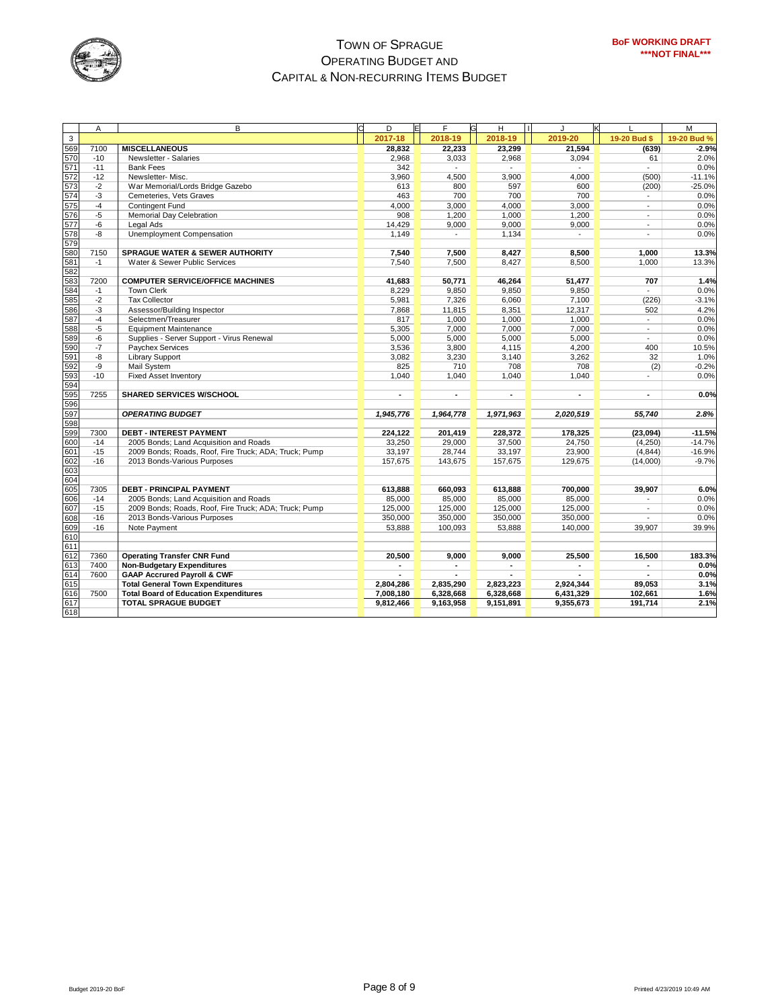

|             | A     | B                                                     | D         | Έ | F              | H         |           | K |                          | M           |
|-------------|-------|-------------------------------------------------------|-----------|---|----------------|-----------|-----------|---|--------------------------|-------------|
| $\mathsf 3$ |       |                                                       | 2017-18   |   | 2018-19        | 2018-19   | 2019-20   |   | 19-20 Bud \$             | 19-20 Bud % |
| 569         | 7100  | <b>MISCELLANEOUS</b>                                  | 28,832    |   | 22,233         | 23,299    | 21,594    |   | (639)                    | $-2.9%$     |
| 570         | $-10$ | Newsletter - Salaries                                 | 2,968     |   | 3,033          | 2,968     | 3,094     |   | 61                       | 2.0%        |
| 571         | $-11$ | <b>Bank Fees</b>                                      | 342       |   |                |           |           |   | $\overline{\phantom{a}}$ | 0.0%        |
| 572         | $-12$ | Newsletter-Misc.                                      | 3,960     |   | 4,500          | 3,900     | 4,000     |   | (500)                    | $-11.1%$    |
| 573         | $-2$  | War Memorial/Lords Bridge Gazebo                      | 613       |   | 800            | 597       | 600       |   | (200)                    | $-25.0%$    |
| 574         | $-3$  | Cemeteries, Vets Graves                               | 463       |   | 700            | 700       | 700       |   | $\overline{\phantom{a}}$ | 0.0%        |
| 575<br>576  | -4    | <b>Contingent Fund</b>                                | 4,000     |   | 3,000          | 4,000     | 3,000     |   | $\mathcal{L}$            | 0.0%        |
|             | $-5$  | Memorial Day Celebration                              | 908       |   | 1,200          | 1,000     | 1,200     |   | $\blacksquare$           | 0.0%        |
| 577         | $-6$  | Legal Ads                                             | 14,429    |   | 9,000          | 9,000     | 9,000     |   | $\overline{\phantom{a}}$ | 0.0%        |
| 578         | -8    | Unemployment Compensation                             | 1,149     |   |                | 1,134     |           |   | $\overline{\phantom{a}}$ | 0.0%        |
| 579         |       |                                                       |           |   |                |           |           |   |                          |             |
| 580         | 7150  | SPRAGUE WATER & SEWER AUTHORITY                       | 7,540     |   | 7,500          | 8,427     | 8,500     |   | 1,000                    | 13.3%       |
| 581         | $-1$  | Water & Sewer Public Services                         | 7,540     |   | 7,500          | 8,427     | 8,500     |   | 1,000                    | 13.3%       |
| 582         |       |                                                       |           |   |                |           |           |   |                          |             |
| 583         | 7200  | <b>COMPUTER SERVICE/OFFICE MACHINES</b>               | 41,683    |   | 50,771         | 46,264    | 51,477    |   | 707                      | 1.4%        |
| 584         | $-1$  | <b>Town Clerk</b>                                     | 8,229     |   | 9,850          | 9,850     | 9,850     |   |                          | 0.0%        |
| 585         | $-2$  | <b>Tax Collector</b>                                  | 5,981     |   | 7,326          | 6,060     | 7,100     |   | (226)                    | $-3.1%$     |
| 586         | $-3$  | Assessor/Building Inspector                           | 7,868     |   | 11,815         | 8,351     | 12,317    |   | 502                      | 4.2%        |
| 587         | $-4$  | Selectmen/Treasurer                                   | 817       |   | 1,000          | 1,000     | 1,000     |   | $\sim$                   | 0.0%        |
| 588         | $-5$  | <b>Equipment Maintenance</b>                          | 5,305     |   | 7,000          | 7,000     | 7,000     |   | $\blacksquare$           | 0.0%        |
| 589         | -6    | Supplies - Server Support - Virus Renewal             | 5,000     |   | 5,000          | 5,000     | 5,000     |   | $\sim$                   | 0.0%        |
| 590         | $-7$  | Paychex Services                                      | 3,536     |   | 3,800          | 4,115     | 4,200     |   | 400                      | 10.5%       |
| 591         | -8    | <b>Library Support</b>                                | 3,082     |   | 3,230          | 3,140     | 3,262     |   | 32                       | 1.0%        |
| 592         | -9    | Mail System                                           | 825       |   | 710            | 708       | 708       |   | (2)                      | $-0.2%$     |
| 593         | $-10$ | <b>Fixed Asset Inventory</b>                          | 1,040     |   | 1,040          | 1,040     | 1,040     |   | $\sim$                   | 0.0%        |
| 594         |       |                                                       |           |   |                |           |           |   |                          |             |
| 595         | 7255  | <b>SHARED SERVICES W/SCHOOL</b>                       | ä,        |   | $\overline{a}$ | ٠         | ٠         |   | ٠                        | 0.0%        |
| 596         |       |                                                       |           |   |                |           |           |   |                          |             |
| 597         |       | <b>OPERATING BUDGET</b>                               | 1,945,776 |   | 1,964,778      | 1,971,963 | 2,020,519 |   | 55,740                   | 2.8%        |
| 598         |       |                                                       |           |   |                |           |           |   |                          |             |
| 599         | 7300  | <b>DEBT - INTEREST PAYMENT</b>                        | 224,122   |   | 201,419        | 228,372   | 178,325   |   | (23,094)                 | $-11.5%$    |
| 600         | $-14$ | 2005 Bonds; Land Acquisition and Roads                | 33,250    |   | 29,000         | 37,500    | 24,750    |   | (4,250)                  | $-14.7%$    |
| 601         | $-15$ | 2009 Bonds; Roads, Roof, Fire Truck; ADA; Truck; Pump | 33,197    |   | 28,744         | 33,197    | 23,900    |   | (4, 844)                 | $-16.9%$    |
| 602         | $-16$ | 2013 Bonds-Various Purposes                           | 157,675   |   | 143,675        | 157,675   | 129,675   |   | (14,000)                 | $-9.7%$     |
| 603         |       |                                                       |           |   |                |           |           |   |                          |             |
| 604         |       |                                                       |           |   |                |           |           |   |                          |             |
| 605         | 7305  | <b>DEBT - PRINCIPAL PAYMENT</b>                       | 613,888   |   | 660,093        | 613,888   | 700,000   |   | 39,907                   | 6.0%        |
| 606         | $-14$ | 2005 Bonds; Land Acquisition and Roads                | 85.000    |   | 85,000         | 85.000    | 85.000    |   |                          | 0.0%        |
| 607         | $-15$ | 2009 Bonds; Roads, Roof, Fire Truck; ADA; Truck; Pump | 125,000   |   | 125,000        | 125,000   | 125,000   |   |                          | 0.0%        |
| 608         | $-16$ | 2013 Bonds-Various Purposes                           | 350,000   |   | 350,000        | 350,000   | 350,000   |   |                          | 0.0%        |
| 609         | $-16$ | Note Payment                                          | 53,888    |   | 100,093        | 53,888    | 140,000   |   | 39,907                   | 39.9%       |
| 610         |       |                                                       |           |   |                |           |           |   |                          |             |
| 611         |       |                                                       |           |   |                |           |           |   |                          |             |
| 612         | 7360  | <b>Operating Transfer CNR Fund</b>                    | 20,500    |   | 9,000          | 9,000     | 25,500    |   | 16,500                   | 183.3%      |
| 613         | 7400  | <b>Non-Budgetary Expenditures</b>                     |           |   |                |           |           |   |                          | 0.0%        |
| 614         | 7600  | <b>GAAP Accrured Payroll &amp; CWF</b>                | ÷.        |   |                |           |           |   |                          | 0.0%        |
| 615         |       | <b>Total General Town Expenditures</b>                | 2,804,286 |   | 2,835,290      | 2,823,223 | 2,924,344 |   | 89,053                   | 3.1%        |
| 616         | 7500  | <b>Total Board of Education Expenditures</b>          | 7,008,180 |   | 6,328,668      | 6,328,668 | 6,431,329 |   | 102.661                  | 1.6%        |
| 617         |       | <b>TOTAL SPRAGUE BUDGET</b>                           | 9.812.466 |   | 9,163,958      | 9,151,891 | 9.355.673 |   | 191,714                  | 2.1%        |
| 618         |       |                                                       |           |   |                |           |           |   |                          |             |